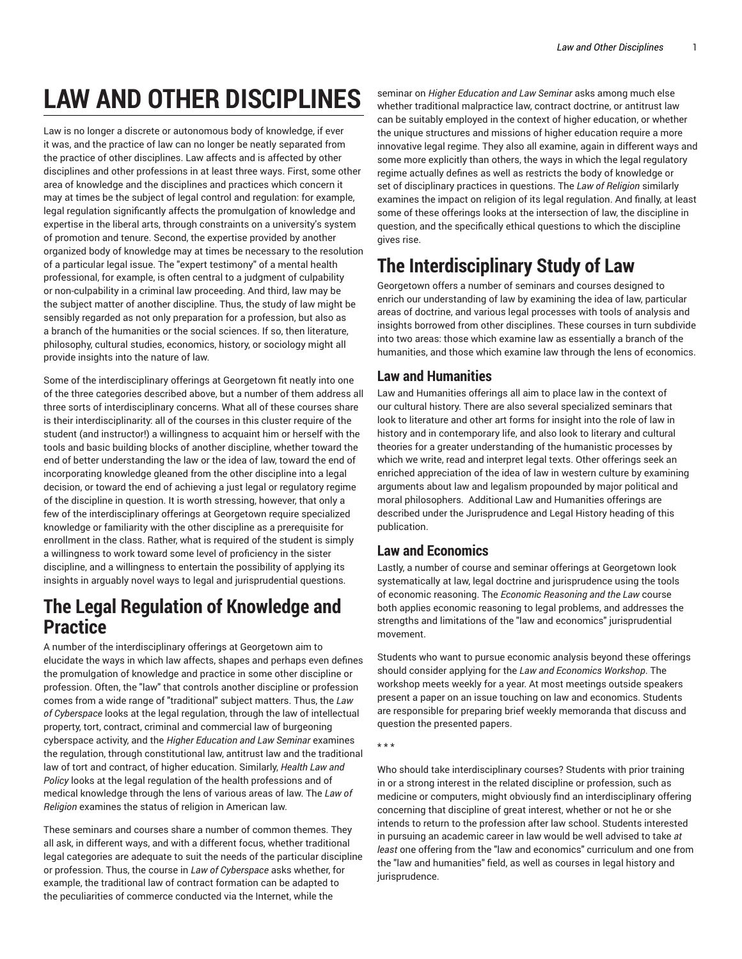# **LAW AND OTHER DISCIPLINES**

Law is no longer a discrete or autonomous body of knowledge, if ever it was, and the practice of law can no longer be neatly separated from the practice of other disciplines. Law affects and is affected by other disciplines and other professions in at least three ways. First, some other area of knowledge and the disciplines and practices which concern it may at times be the subject of legal control and regulation: for example, legal regulation significantly affects the promulgation of knowledge and expertise in the liberal arts, through constraints on a university's system of promotion and tenure. Second, the expertise provided by another organized body of knowledge may at times be necessary to the resolution of a particular legal issue. The "expert testimony" of a mental health professional, for example, is often central to a judgment of culpability or non-culpability in a criminal law proceeding. And third, law may be the subject matter of another discipline. Thus, the study of law might be sensibly regarded as not only preparation for a profession, but also as a branch of the humanities or the social sciences. If so, then literature, philosophy, cultural studies, economics, history, or sociology might all provide insights into the nature of law.

Some of the interdisciplinary offerings at Georgetown fit neatly into one of the three categories described above, but a number of them address all three sorts of interdisciplinary concerns. What all of these courses share is their interdisciplinarity: all of the courses in this cluster require of the student (and instructor!) a willingness to acquaint him or herself with the tools and basic building blocks of another discipline, whether toward the end of better understanding the law or the idea of law, toward the end of incorporating knowledge gleaned from the other discipline into a legal decision, or toward the end of achieving a just legal or regulatory regime of the discipline in question. It is worth stressing, however, that only a few of the interdisciplinary offerings at Georgetown require specialized knowledge or familiarity with the other discipline as a prerequisite for enrollment in the class. Rather, what is required of the student is simply a willingness to work toward some level of proficiency in the sister discipline, and a willingness to entertain the possibility of applying its insights in arguably novel ways to legal and jurisprudential questions.

## **The Legal Regulation of Knowledge and Practice**

A number of the interdisciplinary offerings at Georgetown aim to elucidate the ways in which law affects, shapes and perhaps even defines the promulgation of knowledge and practice in some other discipline or profession. Often, the "law" that controls another discipline or profession comes from a wide range of "traditional" subject matters. Thus, the *Law of Cyberspace* looks at the legal regulation, through the law of intellectual property, tort, contract, criminal and commercial law of burgeoning cyberspace activity, and the *Higher Education and Law Seminar* examines the regulation, through constitutional law, antitrust law and the traditional law of tort and contract, of higher education. Similarly, *Health Law and Policy* looks at the legal regulation of the health professions and of medical knowledge through the lens of various areas of law. The *Law of Religion* examines the status of religion in American law.

These seminars and courses share a number of common themes. They all ask, in different ways, and with a different focus, whether traditional legal categories are adequate to suit the needs of the particular discipline or profession. Thus, the course in *Law of Cyberspace* asks whether, for example, the traditional law of contract formation can be adapted to the peculiarities of commerce conducted via the Internet, while the

seminar on *Higher Education and Law Seminar* asks among much else whether traditional malpractice law, contract doctrine, or antitrust law can be suitably employed in the context of higher education, or whether the unique structures and missions of higher education require a more innovative legal regime. They also all examine, again in different ways and some more explicitly than others, the ways in which the legal regulatory regime actually defines as well as restricts the body of knowledge or set of disciplinary practices in questions. The *Law of Religion* similarly examines the impact on religion of its legal regulation. And finally, at least some of these offerings looks at the intersection of law, the discipline in question, and the specifically ethical questions to which the discipline gives rise.

## **The Interdisciplinary Study of Law**

Georgetown offers a number of seminars and courses designed to enrich our understanding of law by examining the idea of law, particular areas of doctrine, and various legal processes with tools of analysis and insights borrowed from other disciplines. These courses in turn subdivide into two areas: those which examine law as essentially a branch of the humanities, and those which examine law through the lens of economics.

## **Law and Humanities**

Law and Humanities offerings all aim to place law in the context of our cultural history. There are also several specialized seminars that look to literature and other art forms for insight into the role of law in history and in contemporary life, and also look to literary and cultural theories for a greater understanding of the humanistic processes by which we write, read and interpret legal texts. Other offerings seek an enriched appreciation of the idea of law in western culture by examining arguments about law and legalism propounded by major political and moral philosophers. Additional Law and Humanities offerings are described under the Jurisprudence and Legal History heading of this publication.

## **Law and Economics**

Lastly, a number of course and seminar offerings at Georgetown look systematically at law, legal doctrine and jurisprudence using the tools of economic reasoning. The *Economic Reasoning and the Law* course both applies economic reasoning to legal problems, and addresses the strengths and limitations of the "law and economics" jurisprudential movement.

Students who want to pursue economic analysis beyond these offerings should consider applying for the *Law and Economics Workshop*. The workshop meets weekly for a year. At most meetings outside speakers present a paper on an issue touching on law and economics. Students are responsible for preparing brief weekly memoranda that discuss and question the presented papers.

Who should take interdisciplinary courses? Students with prior training in or a strong interest in the related discipline or profession, such as medicine or computers, might obviously find an interdisciplinary offering concerning that discipline of great interest, whether or not he or she intends to return to the profession after law school. Students interested in pursuing an academic career in law would be well advised to take *at least* one offering from the "law and economics" curriculum and one from the "law and humanities" field, as well as courses in legal history and jurisprudence.

<sup>\* \* \*</sup>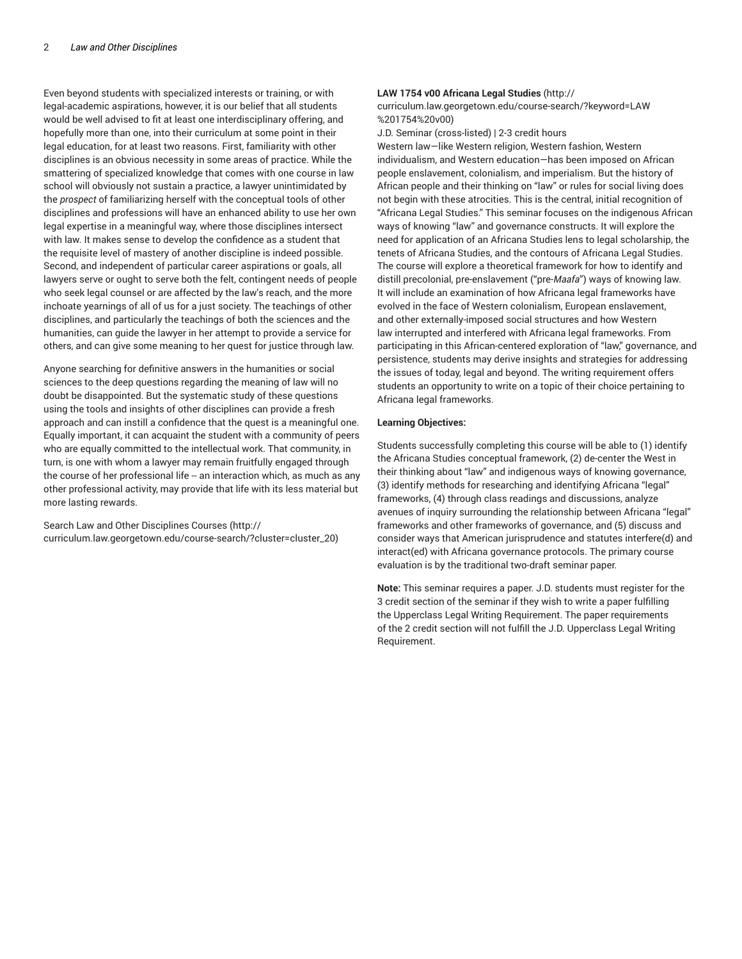Even beyond students with specialized interests or training, or with legal-academic aspirations, however, it is our belief that all students would be well advised to fit at least one interdisciplinary offering, and hopefully more than one, into their curriculum at some point in their legal education, for at least two reasons. First, familiarity with other disciplines is an obvious necessity in some areas of practice. While the smattering of specialized knowledge that comes with one course in law school will obviously not sustain a practice, a lawyer unintimidated by the *prospect* of familiarizing herself with the conceptual tools of other disciplines and professions will have an enhanced ability to use her own legal expertise in a meaningful way, where those disciplines intersect with law. It makes sense to develop the confidence as a student that the requisite level of mastery of another discipline is indeed possible. Second, and independent of particular career aspirations or goals, all lawyers serve or ought to serve both the felt, contingent needs of people who seek legal counsel or are affected by the law's reach, and the more inchoate yearnings of all of us for a just society. The teachings of other disciplines, and particularly the teachings of both the sciences and the humanities, can guide the lawyer in her attempt to provide a service for others, and can give some meaning to her quest for justice through law.

Anyone searching for definitive answers in the humanities or social sciences to the deep questions regarding the meaning of law will no doubt be disappointed. But the systematic study of these questions using the tools and insights of other disciplines can provide a fresh approach and can instill a confidence that the quest is a meaningful one. Equally important, it can acquaint the student with a community of peers who are equally committed to the intellectual work. That community, in turn, is one with whom a lawyer may remain fruitfully engaged through the course of her professional life -- an interaction which, as much as any other professional activity, may provide that life with its less material but more lasting rewards.

Search Law and Other Disciplines Courses (http:// curriculum.law.georgetown.edu/course-search/?cluster=cluster\_20)

#### **LAW 1754 v00 Africana Legal Studies** (http://

curriculum.law.georgetown.edu/course-search/?keyword=LAW %201754%20v00)

J.D. Seminar (cross-listed) | 2-3 credit hours

Western law—like Western religion, Western fashion, Western individualism, and Western education—has been imposed on African people enslavement, colonialism, and imperialism. But the history of African people and their thinking on "law" or rules for social living does not begin with these atrocities. This is the central, initial recognition of "Africana Legal Studies." This seminar focuses on the indigenous African ways of knowing "law" and governance constructs. It will explore the need for application of an Africana Studies lens to legal scholarship, the tenets of Africana Studies, and the contours of Africana Legal Studies. The course will explore a theoretical framework for how to identify and distill precolonial, pre-enslavement ("pre-*Maafa*") ways of knowing law. It will include an examination of how Africana legal frameworks have evolved in the face of Western colonialism, European enslavement, and other externally-imposed social structures and how Western law interrupted and interfered with Africana legal frameworks. From participating in this African-centered exploration of "law," governance, and persistence, students may derive insights and strategies for addressing the issues of today, legal and beyond. The writing requirement offers students an opportunity to write on a topic of their choice pertaining to Africana legal frameworks.

#### **Learning Objectives:**

Students successfully completing this course will be able to (1) identify the Africana Studies conceptual framework, (2) de-center the West in their thinking about "law" and indigenous ways of knowing governance, (3) identify methods for researching and identifying Africana "legal" frameworks, (4) through class readings and discussions, analyze avenues of inquiry surrounding the relationship between Africana "legal" frameworks and other frameworks of governance, and (5) discuss and consider ways that American jurisprudence and statutes interfere(d) and interact(ed) with Africana governance protocols. The primary course evaluation is by the traditional two-draft seminar paper.

**Note:** This seminar requires a paper. J.D. students must register for the 3 credit section of the seminar if they wish to write a paper fulfilling the Upperclass Legal Writing Requirement. The paper requirements of the 2 credit section will not fulfill the J.D. Upperclass Legal Writing Requirement.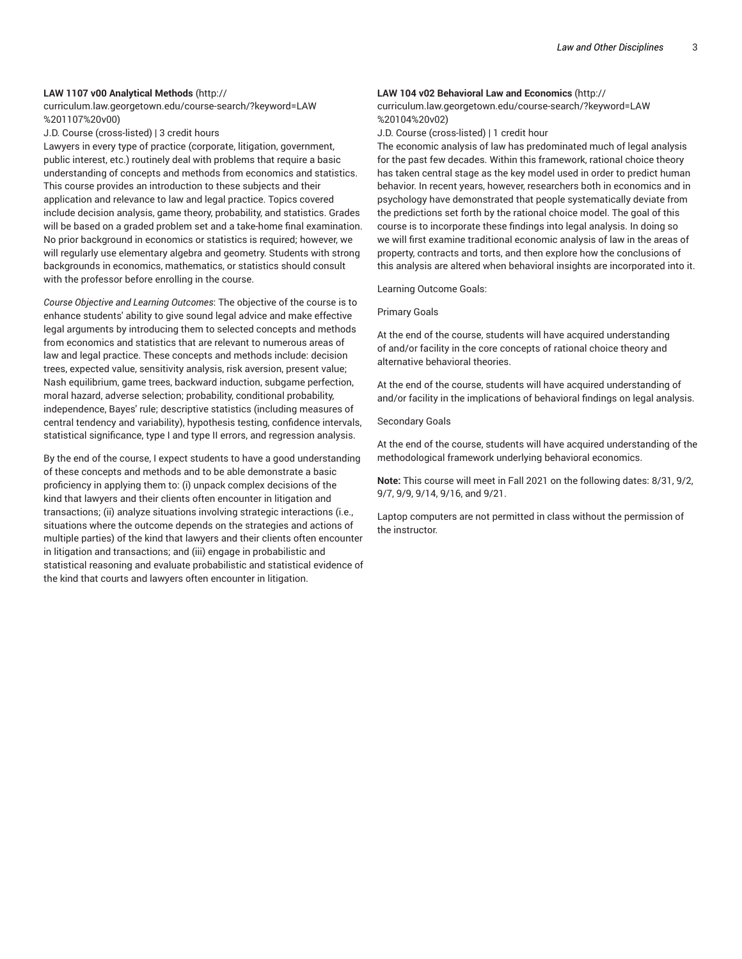#### **LAW 1107 v00 Analytical Methods** (http://

curriculum.law.georgetown.edu/course-search/?keyword=LAW %201107%20v00)

J.D. Course (cross-listed) | 3 credit hours

Lawyers in every type of practice (corporate, litigation, government, public interest, etc.) routinely deal with problems that require a basic understanding of concepts and methods from economics and statistics. This course provides an introduction to these subjects and their application and relevance to law and legal practice. Topics covered include decision analysis, game theory, probability, and statistics. Grades will be based on a graded problem set and a take-home final examination. No prior background in economics or statistics is required; however, we will regularly use elementary algebra and geometry. Students with strong backgrounds in economics, mathematics, or statistics should consult with the professor before enrolling in the course.

*Course Objective and Learning Outcomes*: The objective of the course is to enhance students' ability to give sound legal advice and make effective legal arguments by introducing them to selected concepts and methods from economics and statistics that are relevant to numerous areas of law and legal practice. These concepts and methods include: decision trees, expected value, sensitivity analysis, risk aversion, present value; Nash equilibrium, game trees, backward induction, subgame perfection, moral hazard, adverse selection; probability, conditional probability, independence, Bayes' rule; descriptive statistics (including measures of central tendency and variability), hypothesis testing, confidence intervals, statistical significance, type I and type II errors, and regression analysis.

By the end of the course, I expect students to have a good understanding of these concepts and methods and to be able demonstrate a basic proficiency in applying them to: (i) unpack complex decisions of the kind that lawyers and their clients often encounter in litigation and transactions; (ii) analyze situations involving strategic interactions (i.e., situations where the outcome depends on the strategies and actions of multiple parties) of the kind that lawyers and their clients often encounter in litigation and transactions; and (iii) engage in probabilistic and statistical reasoning and evaluate probabilistic and statistical evidence of the kind that courts and lawyers often encounter in litigation.

#### **LAW 104 v02 Behavioral Law and Economics** (http://

curriculum.law.georgetown.edu/course-search/?keyword=LAW %20104%20v02)

J.D. Course (cross-listed) | 1 credit hour

The economic analysis of law has predominated much of legal analysis for the past few decades. Within this framework, rational choice theory has taken central stage as the key model used in order to predict human behavior. In recent years, however, researchers both in economics and in psychology have demonstrated that people systematically deviate from the predictions set forth by the rational choice model. The goal of this course is to incorporate these findings into legal analysis. In doing so we will first examine traditional economic analysis of law in the areas of property, contracts and torts, and then explore how the conclusions of this analysis are altered when behavioral insights are incorporated into it.

Learning Outcome Goals:

#### Primary Goals

At the end of the course, students will have acquired understanding of and/or facility in the core concepts of rational choice theory and alternative behavioral theories.

At the end of the course, students will have acquired understanding of and/or facility in the implications of behavioral findings on legal analysis.

#### Secondary Goals

At the end of the course, students will have acquired understanding of the methodological framework underlying behavioral economics.

**Note:** This course will meet in Fall 2021 on the following dates: 8/31, 9/2, 9/7, 9/9, 9/14, 9/16, and 9/21.

Laptop computers are not permitted in class without the permission of the instructor.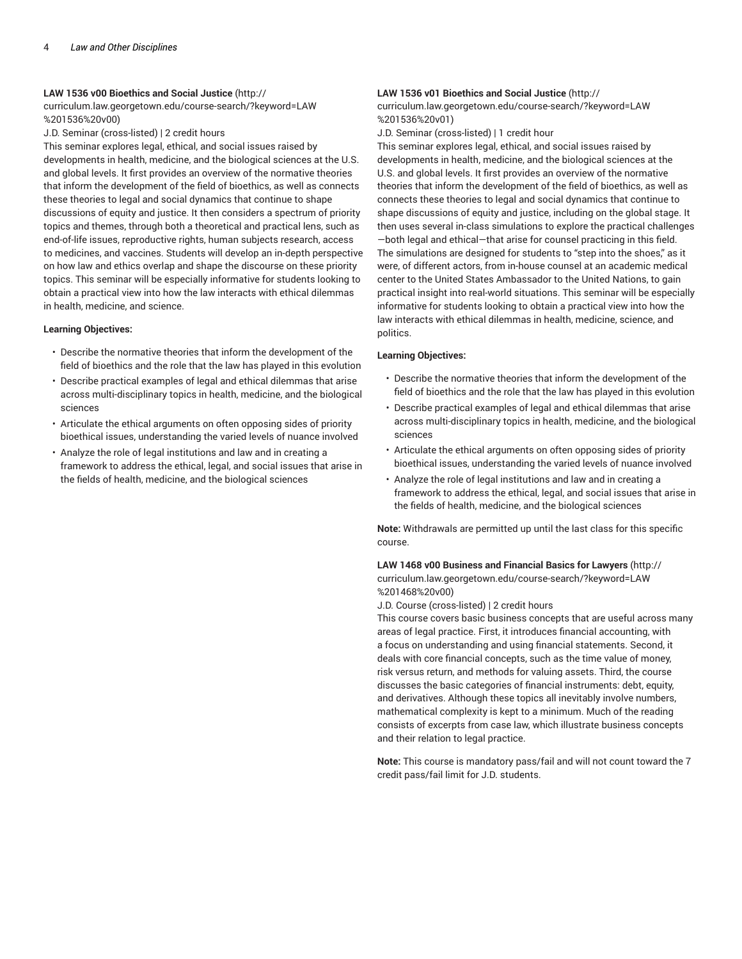#### **LAW 1536 v00 Bioethics and Social Justice** (http://

curriculum.law.georgetown.edu/course-search/?keyword=LAW %201536%20v00)

J.D. Seminar (cross-listed) | 2 credit hours

This seminar explores legal, ethical, and social issues raised by developments in health, medicine, and the biological sciences at the U.S. and global levels. It first provides an overview of the normative theories that inform the development of the field of bioethics, as well as connects these theories to legal and social dynamics that continue to shape discussions of equity and justice. It then considers a spectrum of priority topics and themes, through both a theoretical and practical lens, such as end-of-life issues, reproductive rights, human subjects research, access to medicines, and vaccines. Students will develop an in-depth perspective on how law and ethics overlap and shape the discourse on these priority topics. This seminar will be especially informative for students looking to obtain a practical view into how the law interacts with ethical dilemmas in health, medicine, and science.

#### **Learning Objectives:**

- Describe the normative theories that inform the development of the field of bioethics and the role that the law has played in this evolution
- Describe practical examples of legal and ethical dilemmas that arise across multi-disciplinary topics in health, medicine, and the biological sciences
- Articulate the ethical arguments on often opposing sides of priority bioethical issues, understanding the varied levels of nuance involved
- Analyze the role of legal institutions and law and in creating a framework to address the ethical, legal, and social issues that arise in the fields of health, medicine, and the biological sciences

#### **LAW 1536 v01 Bioethics and Social Justice** (http://

curriculum.law.georgetown.edu/course-search/?keyword=LAW %201536%20v01)

J.D. Seminar (cross-listed) | 1 credit hour

This seminar explores legal, ethical, and social issues raised by developments in health, medicine, and the biological sciences at the U.S. and global levels. It first provides an overview of the normative theories that inform the development of the field of bioethics, as well as connects these theories to legal and social dynamics that continue to shape discussions of equity and justice, including on the global stage. It then uses several in-class simulations to explore the practical challenges —both legal and ethical—that arise for counsel practicing in this field. The simulations are designed for students to "step into the shoes," as it were, of different actors, from in-house counsel at an academic medical center to the United States Ambassador to the United Nations, to gain practical insight into real-world situations. This seminar will be especially informative for students looking to obtain a practical view into how the law interacts with ethical dilemmas in health, medicine, science, and politics.

#### **Learning Objectives:**

- Describe the normative theories that inform the development of the field of bioethics and the role that the law has played in this evolution
- Describe practical examples of legal and ethical dilemmas that arise across multi-disciplinary topics in health, medicine, and the biological sciences
- Articulate the ethical arguments on often opposing sides of priority bioethical issues, understanding the varied levels of nuance involved
- Analyze the role of legal institutions and law and in creating a framework to address the ethical, legal, and social issues that arise in the fields of health, medicine, and the biological sciences

**Note:** Withdrawals are permitted up until the last class for this specific course.

**LAW 1468 v00 Business and Financial Basics for Lawyers** (http:// curriculum.law.georgetown.edu/course-search/?keyword=LAW %201468%20v00)

J.D. Course (cross-listed) | 2 credit hours

This course covers basic business concepts that are useful across many areas of legal practice. First, it introduces financial accounting, with a focus on understanding and using financial statements. Second, it deals with core financial concepts, such as the time value of money, risk versus return, and methods for valuing assets. Third, the course discusses the basic categories of financial instruments: debt, equity, and derivatives. Although these topics all inevitably involve numbers, mathematical complexity is kept to a minimum. Much of the reading consists of excerpts from case law, which illustrate business concepts and their relation to legal practice.

**Note:** This course is mandatory pass/fail and will not count toward the 7 credit pass/fail limit for J.D. students.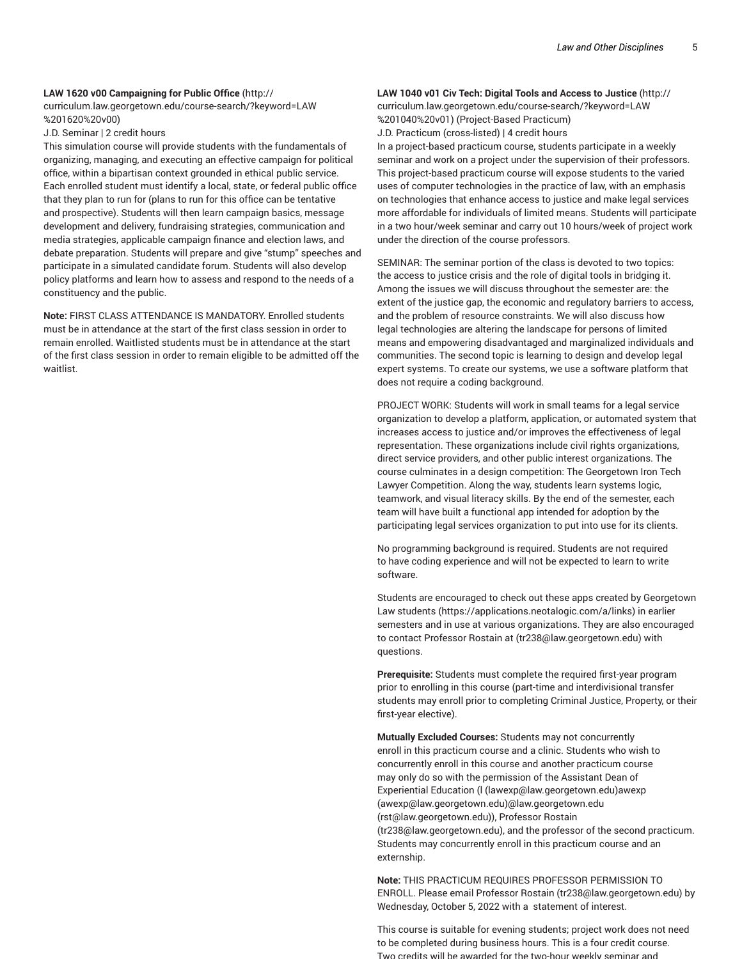#### **LAW 1620 v00 Campaigning for Public Office** (http://

curriculum.law.georgetown.edu/course-search/?keyword=LAW %201620%20v00)

J.D. Seminar | 2 credit hours

This simulation course will provide students with the fundamentals of organizing, managing, and executing an effective campaign for political office, within a bipartisan context grounded in ethical public service. Each enrolled student must identify a local, state, or federal public office that they plan to run for (plans to run for this office can be tentative and prospective). Students will then learn campaign basics, message development and delivery, fundraising strategies, communication and media strategies, applicable campaign finance and election laws, and debate preparation. Students will prepare and give "stump" speeches and participate in a simulated candidate forum. Students will also develop policy platforms and learn how to assess and respond to the needs of a constituency and the public.

**Note:** FIRST CLASS ATTENDANCE IS MANDATORY. Enrolled students must be in attendance at the start of the first class session in order to remain enrolled. Waitlisted students must be in attendance at the start of the first class session in order to remain eligible to be admitted off the waitlist.

### **LAW 1040 v01 Civ Tech: Digital Tools and Access to Justice** (http://

curriculum.law.georgetown.edu/course-search/?keyword=LAW %201040%20v01) (Project-Based Practicum)

J.D. Practicum (cross-listed) | 4 credit hours

In a project-based practicum course, students participate in a weekly seminar and work on a project under the supervision of their professors. This project-based practicum course will expose students to the varied uses of computer technologies in the practice of law, with an emphasis on technologies that enhance access to justice and make legal services more affordable for individuals of limited means. Students will participate in a two hour/week seminar and carry out 10 hours/week of project work under the direction of the course professors.

SEMINAR: The seminar portion of the class is devoted to two topics: the access to justice crisis and the role of digital tools in bridging it. Among the issues we will discuss throughout the semester are: the extent of the justice gap, the economic and regulatory barriers to access, and the problem of resource constraints. We will also discuss how legal technologies are altering the landscape for persons of limited means and empowering disadvantaged and marginalized individuals and communities. The second topic is learning to design and develop legal expert systems. To create our systems, we use a software platform that does not require a coding background.

PROJECT WORK: Students will work in small teams for a legal service organization to develop a platform, application, or automated system that increases access to justice and/or improves the effectiveness of legal representation. These organizations include civil rights organizations, direct service providers, and other public interest organizations. The course culminates in a design competition: The Georgetown Iron Tech Lawyer Competition. Along the way, students learn systems logic, teamwork, and visual literacy skills. By the end of the semester, each team will have built a functional app intended for adoption by the participating legal services organization to put into use for its clients.

No programming background is required. Students are not required to have coding experience and will not be expected to learn to write software.

Students are encouraged to check out these apps created by Georgetown Law students (https://applications.neotalogic.com/a/links) in earlier semesters and in use at various organizations. They are also encouraged to contact Professor Rostain at (tr238@law.georgetown.edu) with questions.

**Prerequisite:** Students must complete the required first-year program prior to enrolling in this course (part-time and interdivisional transfer students may enroll prior to completing Criminal Justice, Property, or their first-year elective).

**Mutually Excluded Courses:** Students may not concurrently enroll in this practicum course and a clinic. Students who wish to concurrently enroll in this course and another practicum course may only do so with the permission of the Assistant Dean of Experiential Education (l (lawexp@law.georgetown.edu)awexp (awexp@law.georgetown.edu)@law.georgetown.edu (rst@law.georgetown.edu)), Professor Rostain (tr238@law.georgetown.edu), and the professor of the second practicum. Students may concurrently enroll in this practicum course and an externship.

**Note:** THIS PRACTICUM REQUIRES PROFESSOR PERMISSION TO ENROLL. Please email Professor Rostain (tr238@law.georgetown.edu) by Wednesday, October 5, 2022 with a statement of interest.

This course is suitable for evening students; project work does not need to be completed during business hours. This is a four credit course. Two credits will be awarded for the two-hour weekly seminar and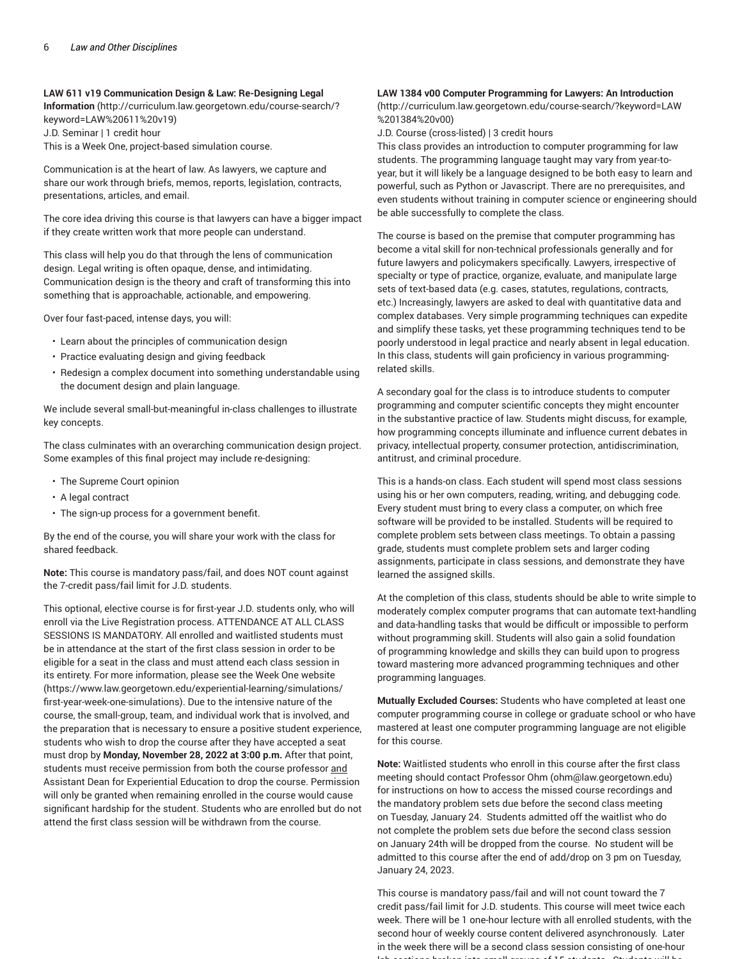#### **LAW 611 v19 Communication Design & Law: Re-Designing Legal**

**Information** (http://curriculum.law.georgetown.edu/course-search/? keyword=LAW%20611%20v19) J.D. Seminar | 1 credit hour This is a Week One, project-based simulation course.

Communication is at the heart of law. As lawyers, we capture and share our work through briefs, memos, reports, legislation, contracts, presentations, articles, and email.

The core idea driving this course is that lawyers can have a bigger impact if they create written work that more people can understand.

This class will help you do that through the lens of communication design. Legal writing is often opaque, dense, and intimidating. Communication design is the theory and craft of transforming this into something that is approachable, actionable, and empowering.

Over four fast-paced, intense days, you will:

- Learn about the principles of communication design
- Practice evaluating design and giving feedback
- Redesign a complex document into something understandable using the document design and plain language.

We include several small-but-meaningful in-class challenges to illustrate key concepts.

The class culminates with an overarching communication design project. Some examples of this final project may include re-designing:

- The Supreme Court opinion
- A legal contract
- The sign-up process for a government benefit.

By the end of the course, you will share your work with the class for shared feedback.

**Note:** This course is mandatory pass/fail, and does NOT count against the 7-credit pass/fail limit for J.D. students.

This optional, elective course is for first-year J.D. students only, who will enroll via the Live Registration process. ATTENDANCE AT ALL CLASS SESSIONS IS MANDATORY. All enrolled and waitlisted students must be in attendance at the start of the first class session in order to be eligible for a seat in the class and must attend each class session in its entirety. For more information, please see the Week One website (https://www.law.georgetown.edu/experiential-learning/simulations/ first-year-week-one-simulations). Due to the intensive nature of the course, the small-group, team, and individual work that is involved, and the preparation that is necessary to ensure a positive student experience, students who wish to drop the course after they have accepted a seat must drop by **Monday, November 28, 2022 at 3:00 p.m.** After that point, students must receive permission from both the course professor and Assistant Dean for Experiential Education to drop the course. Permission will only be granted when remaining enrolled in the course would cause significant hardship for the student. Students who are enrolled but do not attend the first class session will be withdrawn from the course.

#### **LAW 1384 v00 Computer Programming for Lawyers: An Introduction**

(http://curriculum.law.georgetown.edu/course-search/?keyword=LAW %201384%20v00)

J.D. Course (cross-listed) | 3 credit hours

This class provides an introduction to computer programming for law students. The programming language taught may vary from year-toyear, but it will likely be a language designed to be both easy to learn and powerful, such as Python or Javascript. There are no prerequisites, and even students without training in computer science or engineering should be able successfully to complete the class.

The course is based on the premise that computer programming has become a vital skill for non-technical professionals generally and for future lawyers and policymakers specifically. Lawyers, irrespective of specialty or type of practice, organize, evaluate, and manipulate large sets of text-based data (e.g. cases, statutes, regulations, contracts, etc.) Increasingly, lawyers are asked to deal with quantitative data and complex databases. Very simple programming techniques can expedite and simplify these tasks, yet these programming techniques tend to be poorly understood in legal practice and nearly absent in legal education. In this class, students will gain proficiency in various programmingrelated skills.

A secondary goal for the class is to introduce students to computer programming and computer scientific concepts they might encounter in the substantive practice of law. Students might discuss, for example, how programming concepts illuminate and influence current debates in privacy, intellectual property, consumer protection, antidiscrimination, antitrust, and criminal procedure.

This is a hands-on class. Each student will spend most class sessions using his or her own computers, reading, writing, and debugging code. Every student must bring to every class a computer, on which free software will be provided to be installed. Students will be required to complete problem sets between class meetings. To obtain a passing grade, students must complete problem sets and larger coding assignments, participate in class sessions, and demonstrate they have learned the assigned skills.

At the completion of this class, students should be able to write simple to moderately complex computer programs that can automate text-handling and data-handling tasks that would be difficult or impossible to perform without programming skill. Students will also gain a solid foundation of programming knowledge and skills they can build upon to progress toward mastering more advanced programming techniques and other programming languages.

**Mutually Excluded Courses:** Students who have completed at least one computer programming course in college or graduate school or who have mastered at least one computer programming language are not eligible for this course.

**Note:** Waitlisted students who enroll in this course after the first class meeting should contact Professor Ohm (ohm@law.georgetown.edu) for instructions on how to access the missed course recordings and the mandatory problem sets due before the second class meeting on Tuesday, January 24. Students admitted off the waitlist who do not complete the problem sets due before the second class session on January 24th will be dropped from the course. No student will be admitted to this course after the end of add/drop on 3 pm on Tuesday, January 24, 2023.

This course is mandatory pass/fail and will not count toward the 7 credit pass/fail limit for J.D. students. This course will meet twice each week. There will be 1 one-hour lecture with all enrolled students, with the second hour of weekly course content delivered asynchronously. Later in the week there will be a second class session consisting of one-hour lab sections broken into small groups of 15 students. Students will be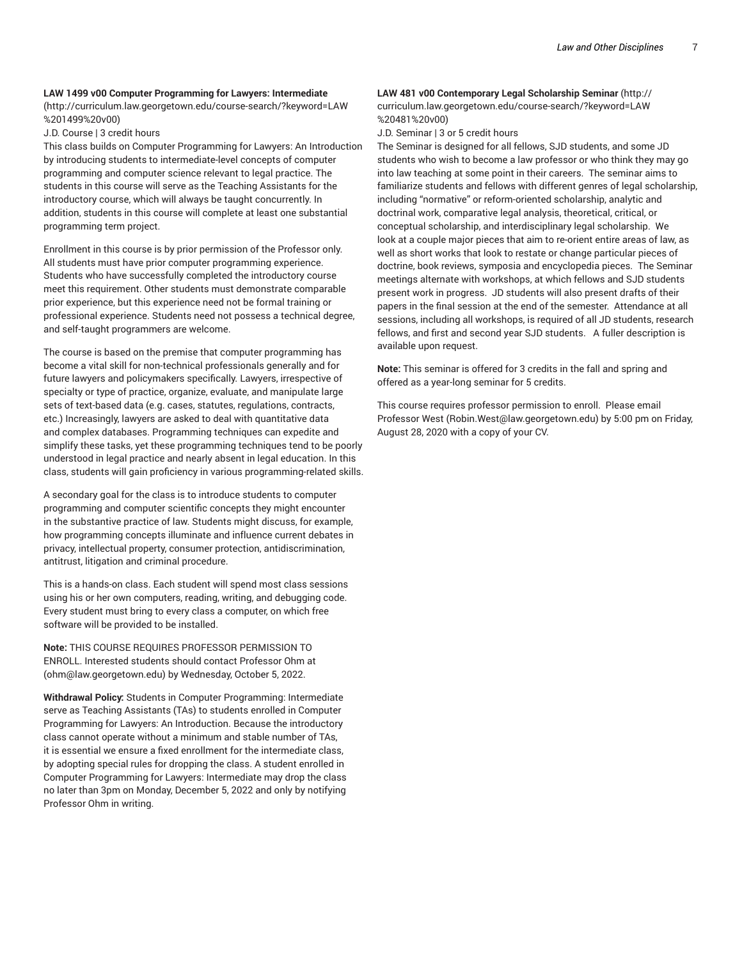#### **LAW 1499 v00 Computer Programming for Lawyers: Intermediate**

(http://curriculum.law.georgetown.edu/course-search/?keyword=LAW %201499%20v00)

#### J.D. Course | 3 credit hours

This class builds on Computer Programming for Lawyers: An Introduction by introducing students to intermediate-level concepts of computer programming and computer science relevant to legal practice. The students in this course will serve as the Teaching Assistants for the introductory course, which will always be taught concurrently. In addition, students in this course will complete at least one substantial programming term project.

Enrollment in this course is by prior permission of the Professor only. All students must have prior computer programming experience. Students who have successfully completed the introductory course meet this requirement. Other students must demonstrate comparable prior experience, but this experience need not be formal training or professional experience. Students need not possess a technical degree, and self-taught programmers are welcome.

The course is based on the premise that computer programming has become a vital skill for non-technical professionals generally and for future lawyers and policymakers specifically. Lawyers, irrespective of specialty or type of practice, organize, evaluate, and manipulate large sets of text-based data (e.g. cases, statutes, regulations, contracts, etc.) Increasingly, lawyers are asked to deal with quantitative data and complex databases. Programming techniques can expedite and simplify these tasks, yet these programming techniques tend to be poorly understood in legal practice and nearly absent in legal education. In this class, students will gain proficiency in various programming-related skills.

A secondary goal for the class is to introduce students to computer programming and computer scientific concepts they might encounter in the substantive practice of law. Students might discuss, for example, how programming concepts illuminate and influence current debates in privacy, intellectual property, consumer protection, antidiscrimination, antitrust, litigation and criminal procedure.

This is a hands-on class. Each student will spend most class sessions using his or her own computers, reading, writing, and debugging code. Every student must bring to every class a computer, on which free software will be provided to be installed.

**Note:** THIS COURSE REQUIRES PROFESSOR PERMISSION TO ENROLL. Interested students should contact Professor Ohm at (ohm@law.georgetown.edu) by Wednesday, October 5, 2022.

**Withdrawal Policy:** Students in Computer Programming: Intermediate serve as Teaching Assistants (TAs) to students enrolled in Computer Programming for Lawyers: An Introduction. Because the introductory class cannot operate without a minimum and stable number of TAs, it is essential we ensure a fixed enrollment for the intermediate class, by adopting special rules for dropping the class. A student enrolled in Computer Programming for Lawyers: Intermediate may drop the class no later than 3pm on Monday, December 5, 2022 and only by notifying Professor Ohm in writing.

### **LAW 481 v00 Contemporary Legal Scholarship Seminar** (http:// curriculum.law.georgetown.edu/course-search/?keyword=LAW %20481%20v00)

J.D. Seminar | 3 or 5 credit hours

The Seminar is designed for all fellows, SJD students, and some JD students who wish to become a law professor or who think they may go into law teaching at some point in their careers. The seminar aims to familiarize students and fellows with different genres of legal scholarship, including "normative" or reform-oriented scholarship, analytic and doctrinal work, comparative legal analysis, theoretical, critical, or conceptual scholarship, and interdisciplinary legal scholarship. We look at a couple major pieces that aim to re-orient entire areas of law, as well as short works that look to restate or change particular pieces of doctrine, book reviews, symposia and encyclopedia pieces. The Seminar meetings alternate with workshops, at which fellows and SJD students present work in progress. JD students will also present drafts of their papers in the final session at the end of the semester. Attendance at all sessions, including all workshops, is required of all JD students, research fellows, and first and second year SJD students. A fuller description is available upon request.

**Note:** This seminar is offered for 3 credits in the fall and spring and offered as a year-long seminar for 5 credits.

This course requires professor permission to enroll. Please email Professor West (Robin.West@law.georgetown.edu) by 5:00 pm on Friday, August 28, 2020 with a copy of your CV.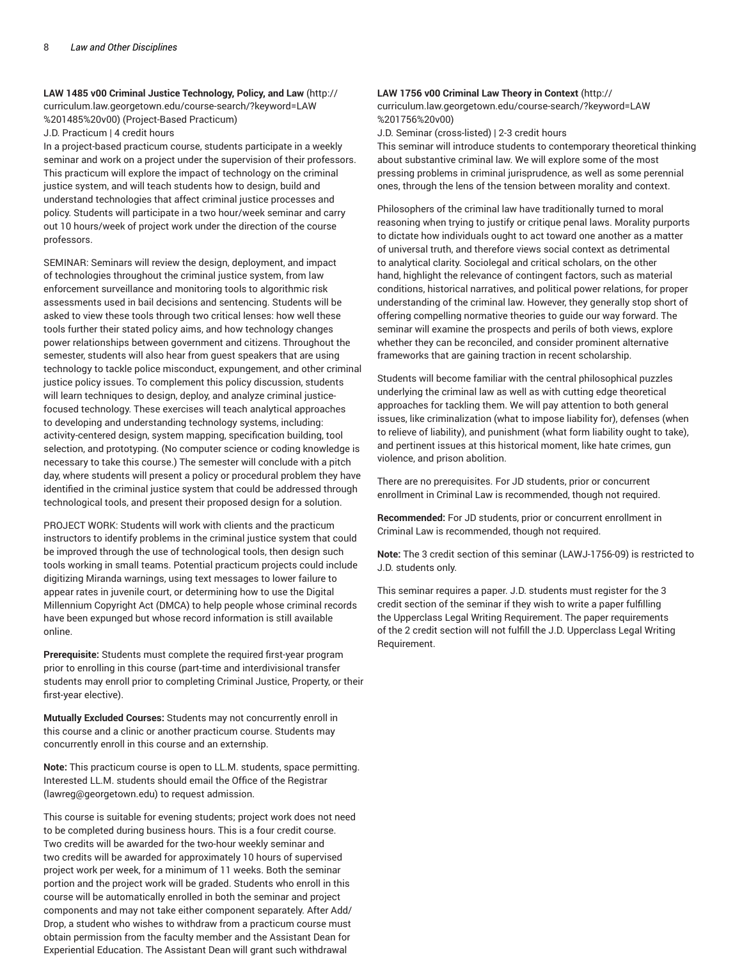**LAW 1485 v00 Criminal Justice Technology, Policy, and Law** (http:// curriculum.law.georgetown.edu/course-search/?keyword=LAW %201485%20v00) (Project-Based Practicum)

J.D. Practicum | 4 credit hours

In a project-based practicum course, students participate in a weekly seminar and work on a project under the supervision of their professors. This practicum will explore the impact of technology on the criminal justice system, and will teach students how to design, build and understand technologies that affect criminal justice processes and policy. Students will participate in a two hour/week seminar and carry out 10 hours/week of project work under the direction of the course professors.

SEMINAR: Seminars will review the design, deployment, and impact of technologies throughout the criminal justice system, from law enforcement surveillance and monitoring tools to algorithmic risk assessments used in bail decisions and sentencing. Students will be asked to view these tools through two critical lenses: how well these tools further their stated policy aims, and how technology changes power relationships between government and citizens. Throughout the semester, students will also hear from guest speakers that are using technology to tackle police misconduct, expungement, and other criminal justice policy issues. To complement this policy discussion, students will learn techniques to design, deploy, and analyze criminal justicefocused technology. These exercises will teach analytical approaches to developing and understanding technology systems, including: activity-centered design, system mapping, specification building, tool selection, and prototyping. (No computer science or coding knowledge is necessary to take this course.) The semester will conclude with a pitch day, where students will present a policy or procedural problem they have identified in the criminal justice system that could be addressed through technological tools, and present their proposed design for a solution.

PROJECT WORK: Students will work with clients and the practicum instructors to identify problems in the criminal justice system that could be improved through the use of technological tools, then design such tools working in small teams. Potential practicum projects could include digitizing Miranda warnings, using text messages to lower failure to appear rates in juvenile court, or determining how to use the Digital Millennium Copyright Act (DMCA) to help people whose criminal records have been expunged but whose record information is still available online.

**Prerequisite:** Students must complete the required first-year program prior to enrolling in this course (part-time and interdivisional transfer students may enroll prior to completing Criminal Justice, Property, or their first-year elective).

**Mutually Excluded Courses:** Students may not concurrently enroll in this course and a clinic or another practicum course. Students may concurrently enroll in this course and an externship.

**Note:** This practicum course is open to LL.M. students, space permitting. Interested LL.M. students should email the Office of the Registrar (lawreg@georgetown.edu) to request admission.

This course is suitable for evening students; project work does not need to be completed during business hours. This is a four credit course. Two credits will be awarded for the two-hour weekly seminar and two credits will be awarded for approximately 10 hours of supervised project work per week, for a minimum of 11 weeks. Both the seminar portion and the project work will be graded. Students who enroll in this course will be automatically enrolled in both the seminar and project components and may not take either component separately. After Add/ Drop, a student who wishes to withdraw from a practicum course must obtain permission from the faculty member and the Assistant Dean for Experiential Education. The Assistant Dean will grant such withdrawal

#### **LAW 1756 v00 Criminal Law Theory in Context** (http://

curriculum.law.georgetown.edu/course-search/?keyword=LAW %201756%20v00)

J.D. Seminar (cross-listed) | 2-3 credit hours

This seminar will introduce students to contemporary theoretical thinking about substantive criminal law. We will explore some of the most pressing problems in criminal jurisprudence, as well as some perennial ones, through the lens of the tension between morality and context.

Philosophers of the criminal law have traditionally turned to moral reasoning when trying to justify or critique penal laws. Morality purports to dictate how individuals ought to act toward one another as a matter of universal truth, and therefore views social context as detrimental to analytical clarity. Sociolegal and critical scholars, on the other hand, highlight the relevance of contingent factors, such as material conditions, historical narratives, and political power relations, for proper understanding of the criminal law. However, they generally stop short of offering compelling normative theories to guide our way forward. The seminar will examine the prospects and perils of both views, explore whether they can be reconciled, and consider prominent alternative frameworks that are gaining traction in recent scholarship.

Students will become familiar with the central philosophical puzzles underlying the criminal law as well as with cutting edge theoretical approaches for tackling them. We will pay attention to both general issues, like criminalization (what to impose liability for), defenses (when to relieve of liability), and punishment (what form liability ought to take), and pertinent issues at this historical moment, like hate crimes, gun violence, and prison abolition.

There are no prerequisites. For JD students, prior or concurrent enrollment in Criminal Law is recommended, though not required.

**Recommended:** For JD students, prior or concurrent enrollment in Criminal Law is recommended, though not required.

**Note:** The 3 credit section of this seminar (LAWJ-1756-09) is restricted to J.D. students only.

This seminar requires a paper. J.D. students must register for the 3 credit section of the seminar if they wish to write a paper fulfilling the Upperclass Legal Writing Requirement. The paper requirements of the 2 credit section will not fulfill the J.D. Upperclass Legal Writing Requirement.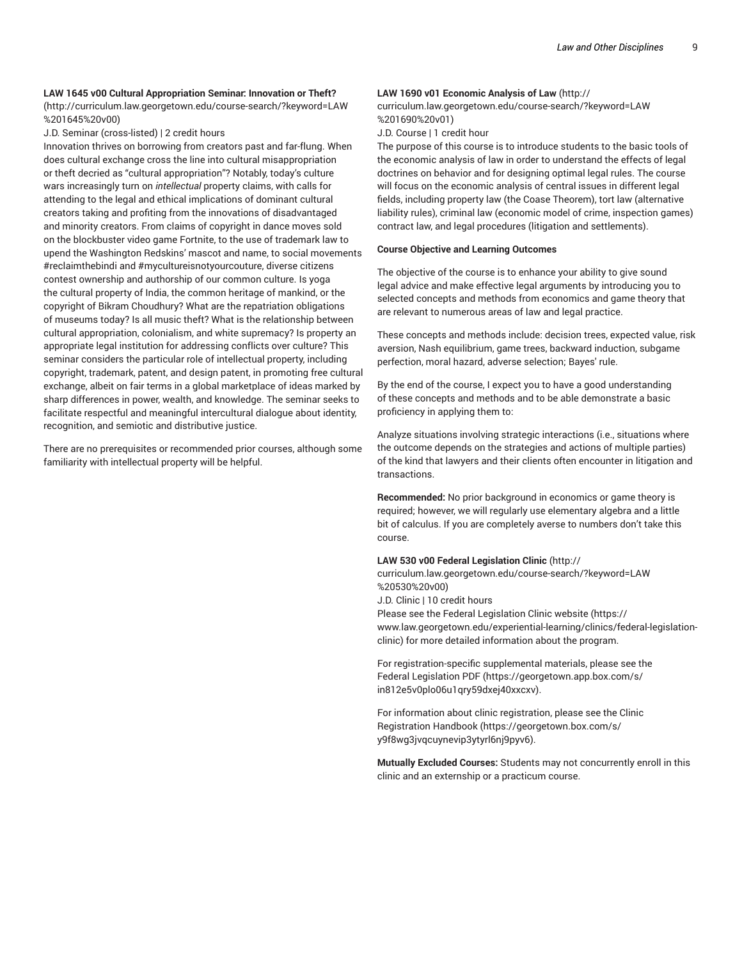#### **LAW 1645 v00 Cultural Appropriation Seminar: Innovation or Theft?**

(http://curriculum.law.georgetown.edu/course-search/?keyword=LAW %201645%20v00)

J.D. Seminar (cross-listed) | 2 credit hours

Innovation thrives on borrowing from creators past and far-flung. When does cultural exchange cross the line into cultural misappropriation or theft decried as "cultural appropriation"? Notably, today's culture wars increasingly turn on *intellectual* property claims, with calls for attending to the legal and ethical implications of dominant cultural creators taking and profiting from the innovations of disadvantaged and minority creators. From claims of copyright in dance moves sold on the blockbuster video game Fortnite, to the use of trademark law to upend the Washington Redskins' mascot and name, to social movements #reclaimthebindi and #mycultureisnotyourcouture, diverse citizens contest ownership and authorship of our common culture. Is yoga the cultural property of India, the common heritage of mankind, or the copyright of Bikram Choudhury? What are the repatriation obligations of museums today? Is all music theft? What is the relationship between cultural appropriation, colonialism, and white supremacy? Is property an appropriate legal institution for addressing conflicts over culture? This seminar considers the particular role of intellectual property, including copyright, trademark, patent, and design patent, in promoting free cultural exchange, albeit on fair terms in a global marketplace of ideas marked by sharp differences in power, wealth, and knowledge. The seminar seeks to facilitate respectful and meaningful intercultural dialogue about identity, recognition, and semiotic and distributive justice.

There are no prerequisites or recommended prior courses, although some familiarity with intellectual property will be helpful.

#### **LAW 1690 v01 Economic Analysis of Law** (http://

curriculum.law.georgetown.edu/course-search/?keyword=LAW %201690%20v01)

J.D. Course | 1 credit hour

The purpose of this course is to introduce students to the basic tools of the economic analysis of law in order to understand the effects of legal doctrines on behavior and for designing optimal legal rules. The course will focus on the economic analysis of central issues in different legal fields, including property law (the Coase Theorem), tort law (alternative liability rules), criminal law (economic model of crime, inspection games) contract law, and legal procedures (litigation and settlements).

#### **Course Objective and Learning Outcomes**

The objective of the course is to enhance your ability to give sound legal advice and make effective legal arguments by introducing you to selected concepts and methods from economics and game theory that are relevant to numerous areas of law and legal practice.

These concepts and methods include: decision trees, expected value, risk aversion, Nash equilibrium, game trees, backward induction, subgame perfection, moral hazard, adverse selection; Bayes' rule.

By the end of the course, I expect you to have a good understanding of these concepts and methods and to be able demonstrate a basic proficiency in applying them to:

Analyze situations involving strategic interactions (i.e., situations where the outcome depends on the strategies and actions of multiple parties) of the kind that lawyers and their clients often encounter in litigation and transactions.

**Recommended:** No prior background in economics or game theory is required; however, we will regularly use elementary algebra and a little bit of calculus. If you are completely averse to numbers don't take this course.

#### **LAW 530 v00 Federal Legislation Clinic** (http://

curriculum.law.georgetown.edu/course-search/?keyword=LAW %20530%20v00)

J.D. Clinic | 10 credit hours

Please see the Federal Legislation Clinic website (https:// www.law.georgetown.edu/experiential-learning/clinics/federal-legislationclinic) for more detailed information about the program.

For registration-specific supplemental materials, please see the Federal Legislation PDF (https://georgetown.app.box.com/s/ in812e5v0plo06u1qry59dxej40xxcxv).

For information about clinic registration, please see the Clinic Registration Handbook (https://georgetown.box.com/s/ y9f8wg3jvqcuynevip3ytyrl6nj9pyv6).

**Mutually Excluded Courses:** Students may not concurrently enroll in this clinic and an externship or a practicum course.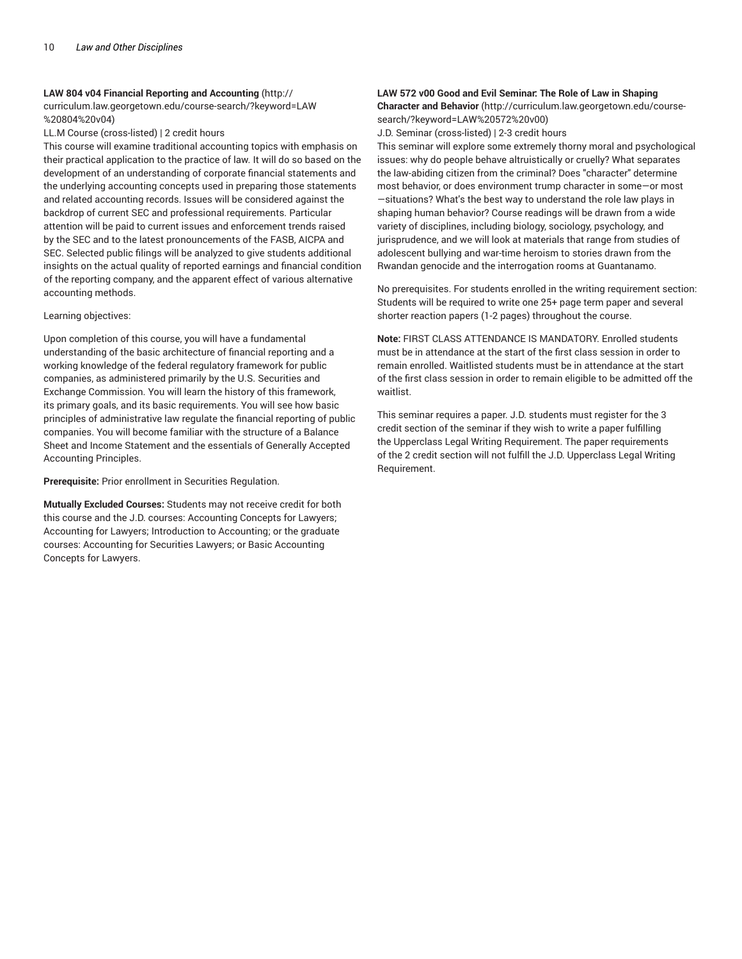#### **LAW 804 v04 Financial Reporting and Accounting** (http://

curriculum.law.georgetown.edu/course-search/?keyword=LAW %20804%20v04)

LL.M Course (cross-listed) | 2 credit hours

This course will examine traditional accounting topics with emphasis on their practical application to the practice of law. It will do so based on the development of an understanding of corporate financial statements and the underlying accounting concepts used in preparing those statements and related accounting records. Issues will be considered against the backdrop of current SEC and professional requirements. Particular attention will be paid to current issues and enforcement trends raised by the SEC and to the latest pronouncements of the FASB, AICPA and SEC. Selected public filings will be analyzed to give students additional insights on the actual quality of reported earnings and financial condition of the reporting company, and the apparent effect of various alternative accounting methods.

#### Learning objectives:

Upon completion of this course, you will have a fundamental understanding of the basic architecture of financial reporting and a working knowledge of the federal regulatory framework for public companies, as administered primarily by the U.S. Securities and Exchange Commission. You will learn the history of this framework, its primary goals, and its basic requirements. You will see how basic principles of administrative law regulate the financial reporting of public companies. You will become familiar with the structure of a Balance Sheet and Income Statement and the essentials of Generally Accepted Accounting Principles.

**Prerequisite:** Prior enrollment in Securities Regulation.

**Mutually Excluded Courses:** Students may not receive credit for both this course and the J.D. courses: Accounting Concepts for Lawyers; Accounting for Lawyers; Introduction to Accounting; or the graduate courses: Accounting for Securities Lawyers; or Basic Accounting Concepts for Lawyers.

#### **LAW 572 v00 Good and Evil Seminar: The Role of Law in Shaping**

**Character and Behavior** (http://curriculum.law.georgetown.edu/coursesearch/?keyword=LAW%20572%20v00)

J.D. Seminar (cross-listed) | 2-3 credit hours

This seminar will explore some extremely thorny moral and psychological issues: why do people behave altruistically or cruelly? What separates the law-abiding citizen from the criminal? Does "character" determine most behavior, or does environment trump character in some—or most —situations? What's the best way to understand the role law plays in shaping human behavior? Course readings will be drawn from a wide variety of disciplines, including biology, sociology, psychology, and jurisprudence, and we will look at materials that range from studies of adolescent bullying and war-time heroism to stories drawn from the Rwandan genocide and the interrogation rooms at Guantanamo.

No prerequisites. For students enrolled in the writing requirement section: Students will be required to write one 25+ page term paper and several shorter reaction papers (1-2 pages) throughout the course.

**Note:** FIRST CLASS ATTENDANCE IS MANDATORY. Enrolled students must be in attendance at the start of the first class session in order to remain enrolled. Waitlisted students must be in attendance at the start of the first class session in order to remain eligible to be admitted off the waitlist.

This seminar requires a paper. J.D. students must register for the 3 credit section of the seminar if they wish to write a paper fulfilling the Upperclass Legal Writing Requirement. The paper requirements of the 2 credit section will not fulfill the J.D. Upperclass Legal Writing Requirement.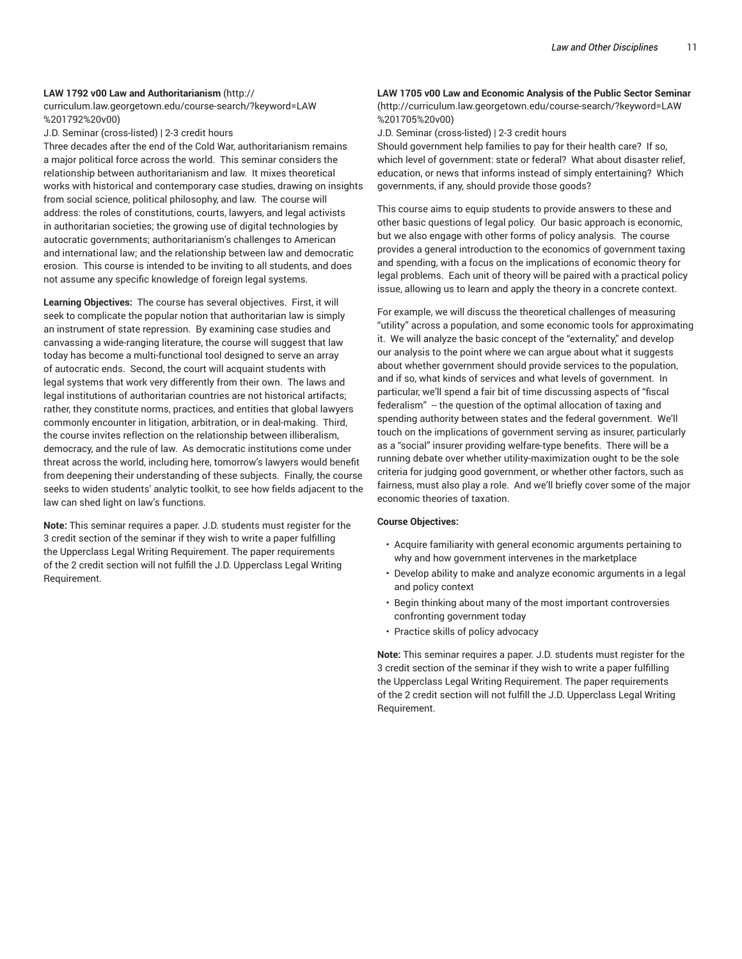#### **LAW 1792 v00 Law and Authoritarianism** (http://

curriculum.law.georgetown.edu/course-search/?keyword=LAW %201792%20v00)

J.D. Seminar (cross-listed) | 2-3 credit hours

Three decades after the end of the Cold War, authoritarianism remains a major political force across the world. This seminar considers the relationship between authoritarianism and law. It mixes theoretical works with historical and contemporary case studies, drawing on insights from social science, political philosophy, and law. The course will address: the roles of constitutions, courts, lawyers, and legal activists in authoritarian societies; the growing use of digital technologies by autocratic governments; authoritarianism's challenges to American and international law; and the relationship between law and democratic erosion. This course is intended to be inviting to all students, and does not assume any specific knowledge of foreign legal systems.

**Learning Objectives:** The course has several objectives. First, it will seek to complicate the popular notion that authoritarian law is simply an instrument of state repression. By examining case studies and canvassing a wide-ranging literature, the course will suggest that law today has become a multi-functional tool designed to serve an array of autocratic ends. Second, the court will acquaint students with legal systems that work very differently from their own. The laws and legal institutions of authoritarian countries are not historical artifacts; rather, they constitute norms, practices, and entities that global lawyers commonly encounter in litigation, arbitration, or in deal-making. Third, the course invites reflection on the relationship between illiberalism, democracy, and the rule of law. As democratic institutions come under threat across the world, including here, tomorrow's lawyers would benefit from deepening their understanding of these subjects. Finally, the course seeks to widen students' analytic toolkit, to see how fields adjacent to the law can shed light on law's functions.

**Note:** This seminar requires a paper. J.D. students must register for the 3 credit section of the seminar if they wish to write a paper fulfilling the Upperclass Legal Writing Requirement. The paper requirements of the 2 credit section will not fulfill the J.D. Upperclass Legal Writing Requirement.

## **LAW 1705 v00 Law and Economic Analysis of the Public Sector Seminar**

(http://curriculum.law.georgetown.edu/course-search/?keyword=LAW %201705%20v00)

J.D. Seminar (cross-listed) | 2-3 credit hours

Should government help families to pay for their health care? If so, which level of government: state or federal? What about disaster relief, education, or news that informs instead of simply entertaining? Which governments, if any, should provide those goods?

This course aims to equip students to provide answers to these and other basic questions of legal policy. Our basic approach is economic, but we also engage with other forms of policy analysis. The course provides a general introduction to the economics of government taxing and spending, with a focus on the implications of economic theory for legal problems. Each unit of theory will be paired with a practical policy issue, allowing us to learn and apply the theory in a concrete context.

For example, we will discuss the theoretical challenges of measuring "utility" across a population, and some economic tools for approximating it. We will analyze the basic concept of the "externality," and develop our analysis to the point where we can argue about what it suggests about whether government should provide services to the population, and if so, what kinds of services and what levels of government. In particular, we'll spend a fair bit of time discussing aspects of "fiscal federalism" -- the question of the optimal allocation of taxing and spending authority between states and the federal government. We'll touch on the implications of government serving as insurer, particularly as a "social" insurer providing welfare-type benefits. There will be a running debate over whether utility-maximization ought to be the sole criteria for judging good government, or whether other factors, such as fairness, must also play a role. And we'll briefly cover some of the major economic theories of taxation.

#### **Course Objectives:**

- Acquire familiarity with general economic arguments pertaining to why and how government intervenes in the marketplace
- Develop ability to make and analyze economic arguments in a legal and policy context
- Begin thinking about many of the most important controversies confronting government today
- Practice skills of policy advocacy

**Note:** This seminar requires a paper. J.D. students must register for the 3 credit section of the seminar if they wish to write a paper fulfilling the Upperclass Legal Writing Requirement. The paper requirements of the 2 credit section will not fulfill the J.D. Upperclass Legal Writing Requirement.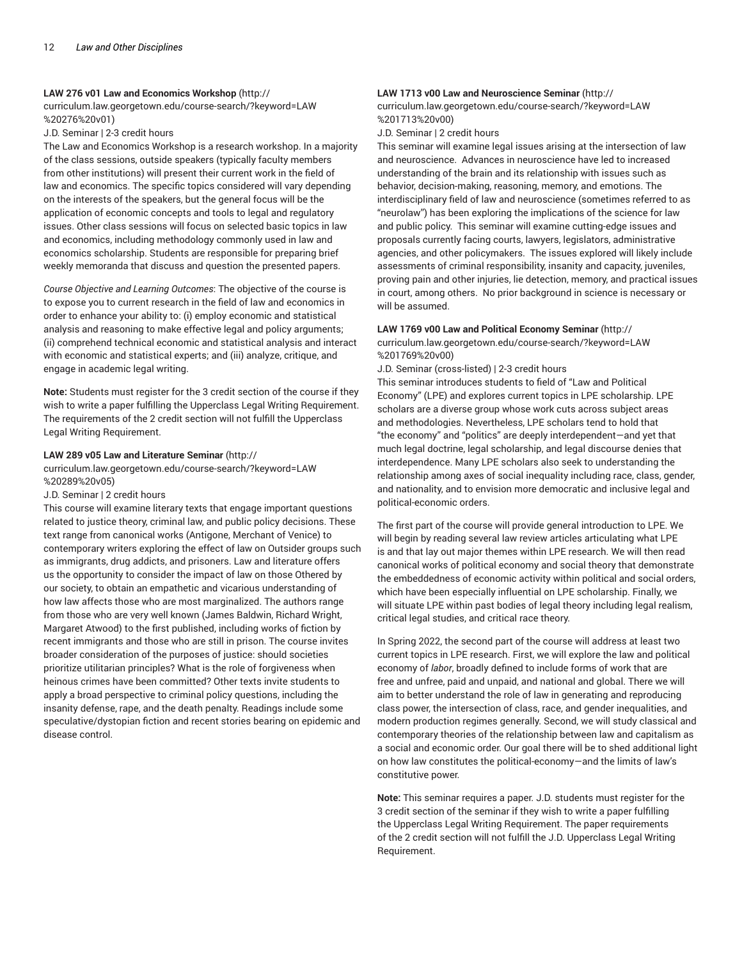#### **LAW 276 v01 Law and Economics Workshop** (http://

curriculum.law.georgetown.edu/course-search/?keyword=LAW %20276%20v01)

#### J.D. Seminar | 2-3 credit hours

The Law and Economics Workshop is a research workshop. In a majority of the class sessions, outside speakers (typically faculty members from other institutions) will present their current work in the field of law and economics. The specific topics considered will vary depending on the interests of the speakers, but the general focus will be the application of economic concepts and tools to legal and regulatory issues. Other class sessions will focus on selected basic topics in law and economics, including methodology commonly used in law and economics scholarship. Students are responsible for preparing brief weekly memoranda that discuss and question the presented papers.

*Course Objective and Learning Outcomes*: The objective of the course is to expose you to current research in the field of law and economics in order to enhance your ability to: (i) employ economic and statistical analysis and reasoning to make effective legal and policy arguments; (ii) comprehend technical economic and statistical analysis and interact with economic and statistical experts; and (iii) analyze, critique, and engage in academic legal writing.

**Note:** Students must register for the 3 credit section of the course if they wish to write a paper fulfilling the Upperclass Legal Writing Requirement. The requirements of the 2 credit section will not fulfill the Upperclass Legal Writing Requirement.

#### **LAW 289 v05 Law and Literature Seminar** (http://

curriculum.law.georgetown.edu/course-search/?keyword=LAW %20289%20v05)

#### J.D. Seminar | 2 credit hours

This course will examine literary texts that engage important questions related to justice theory, criminal law, and public policy decisions. These text range from canonical works (Antigone, Merchant of Venice) to contemporary writers exploring the effect of law on Outsider groups such as immigrants, drug addicts, and prisoners. Law and literature offers us the opportunity to consider the impact of law on those Othered by our society, to obtain an empathetic and vicarious understanding of how law affects those who are most marginalized. The authors range from those who are very well known (James Baldwin, Richard Wright, Margaret Atwood) to the first published, including works of fiction by recent immigrants and those who are still in prison. The course invites broader consideration of the purposes of justice: should societies prioritize utilitarian principles? What is the role of forgiveness when heinous crimes have been committed? Other texts invite students to apply a broad perspective to criminal policy questions, including the insanity defense, rape, and the death penalty. Readings include some speculative/dystopian fiction and recent stories bearing on epidemic and disease control.

### **LAW 1713 v00 Law and Neuroscience Seminar** (http://

curriculum.law.georgetown.edu/course-search/?keyword=LAW %201713%20v00)

J.D. Seminar | 2 credit hours

This seminar will examine legal issues arising at the intersection of law and neuroscience. Advances in neuroscience have led to increased understanding of the brain and its relationship with issues such as behavior, decision-making, reasoning, memory, and emotions. The interdisciplinary field of law and neuroscience (sometimes referred to as "neurolaw") has been exploring the implications of the science for law and public policy. This seminar will examine cutting-edge issues and proposals currently facing courts, lawyers, legislators, administrative agencies, and other policymakers. The issues explored will likely include assessments of criminal responsibility, insanity and capacity, juveniles, proving pain and other injuries, lie detection, memory, and practical issues in court, among others. No prior background in science is necessary or will be assumed.

#### **LAW 1769 v00 Law and Political Economy Seminar** (http://

curriculum.law.georgetown.edu/course-search/?keyword=LAW %201769%20v00)

J.D. Seminar (cross-listed) | 2-3 credit hours

This seminar introduces students to field of "Law and Political Economy" (LPE) and explores current topics in LPE scholarship. LPE scholars are a diverse group whose work cuts across subject areas and methodologies. Nevertheless, LPE scholars tend to hold that "the economy" and "politics" are deeply interdependent—and yet that much legal doctrine, legal scholarship, and legal discourse denies that interdependence. Many LPE scholars also seek to understanding the relationship among axes of social inequality including race, class, gender, and nationality, and to envision more democratic and inclusive legal and political-economic orders.

The first part of the course will provide general introduction to LPE. We will begin by reading several law review articles articulating what LPE is and that lay out major themes within LPE research. We will then read canonical works of political economy and social theory that demonstrate the embeddedness of economic activity within political and social orders, which have been especially influential on LPE scholarship. Finally, we will situate LPE within past bodies of legal theory including legal realism, critical legal studies, and critical race theory.

In Spring 2022, the second part of the course will address at least two current topics in LPE research. First, we will explore the law and political economy of *labor*, broadly defined to include forms of work that are free and unfree, paid and unpaid, and national and global. There we will aim to better understand the role of law in generating and reproducing class power, the intersection of class, race, and gender inequalities, and modern production regimes generally. Second, we will study classical and contemporary theories of the relationship between law and capitalism as a social and economic order. Our goal there will be to shed additional light on how law constitutes the political-economy—and the limits of law's constitutive power.

**Note:** This seminar requires a paper. J.D. students must register for the 3 credit section of the seminar if they wish to write a paper fulfilling the Upperclass Legal Writing Requirement. The paper requirements of the 2 credit section will not fulfill the J.D. Upperclass Legal Writing Requirement.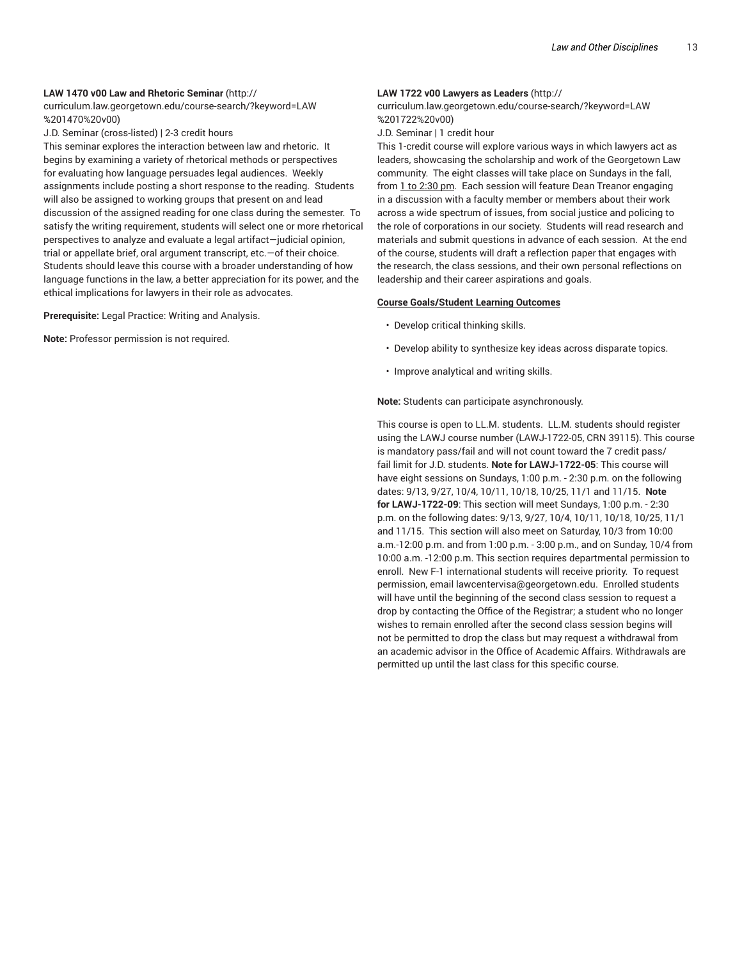#### **LAW 1470 v00 Law and Rhetoric Seminar** (http://

curriculum.law.georgetown.edu/course-search/?keyword=LAW %201470%20v00)

J.D. Seminar (cross-listed) | 2-3 credit hours

This seminar explores the interaction between law and rhetoric. It begins by examining a variety of rhetorical methods or perspectives for evaluating how language persuades legal audiences. Weekly assignments include posting a short response to the reading. Students will also be assigned to working groups that present on and lead discussion of the assigned reading for one class during the semester. To satisfy the writing requirement, students will select one or more rhetorical perspectives to analyze and evaluate a legal artifact—judicial opinion, trial or appellate brief, oral argument transcript, etc.—of their choice. Students should leave this course with a broader understanding of how language functions in the law, a better appreciation for its power, and the ethical implications for lawyers in their role as advocates.

**Prerequisite:** Legal Practice: Writing and Analysis.

**Note:** Professor permission is not required.

#### **LAW 1722 v00 Lawyers as Leaders** (http://

curriculum.law.georgetown.edu/course-search/?keyword=LAW %201722%20v00)

J.D. Seminar | 1 credit hour

This 1-credit course will explore various ways in which lawyers act as leaders, showcasing the scholarship and work of the Georgetown Law community. The eight classes will take place on Sundays in the fall, from 1 to 2:30 pm. Each session will feature Dean Treanor engaging in a discussion with a faculty member or members about their work across a wide spectrum of issues, from social justice and policing to the role of corporations in our society. Students will read research and materials and submit questions in advance of each session. At the end of the course, students will draft a reflection paper that engages with the research, the class sessions, and their own personal reflections on leadership and their career aspirations and goals.

#### **Course Goals/Student Learning Outcomes**

- Develop critical thinking skills.
- Develop ability to synthesize key ideas across disparate topics.
- Improve analytical and writing skills.

**Note:** Students can participate asynchronously.

This course is open to LL.M. students. LL.M. students should register using the LAWJ course number (LAWJ-1722-05, CRN 39115). This course is mandatory pass/fail and will not count toward the 7 credit pass/ fail limit for J.D. students. **Note for LAWJ-1722-05**: This course will have eight sessions on Sundays, 1:00 p.m. - 2:30 p.m. on the following dates: 9/13, 9/27, 10/4, 10/11, 10/18, 10/25, 11/1 and 11/15. **Note for LAWJ-1722-09**: This section will meet Sundays, 1:00 p.m. - 2:30 p.m. on the following dates: 9/13, 9/27, 10/4, 10/11, 10/18, 10/25, 11/1 and 11/15. This section will also meet on Saturday, 10/3 from 10:00 a.m.-12:00 p.m. and from 1:00 p.m. - 3:00 p.m., and on Sunday, 10/4 from 10:00 a.m. -12:00 p.m. This section requires departmental permission to enroll. New F-1 international students will receive priority. To request permission, email lawcentervisa@georgetown.edu. Enrolled students will have until the beginning of the second class session to request a drop by contacting the Office of the Registrar; a student who no longer wishes to remain enrolled after the second class session begins will not be permitted to drop the class but may request a withdrawal from an academic advisor in the Office of Academic Affairs. Withdrawals are permitted up until the last class for this specific course.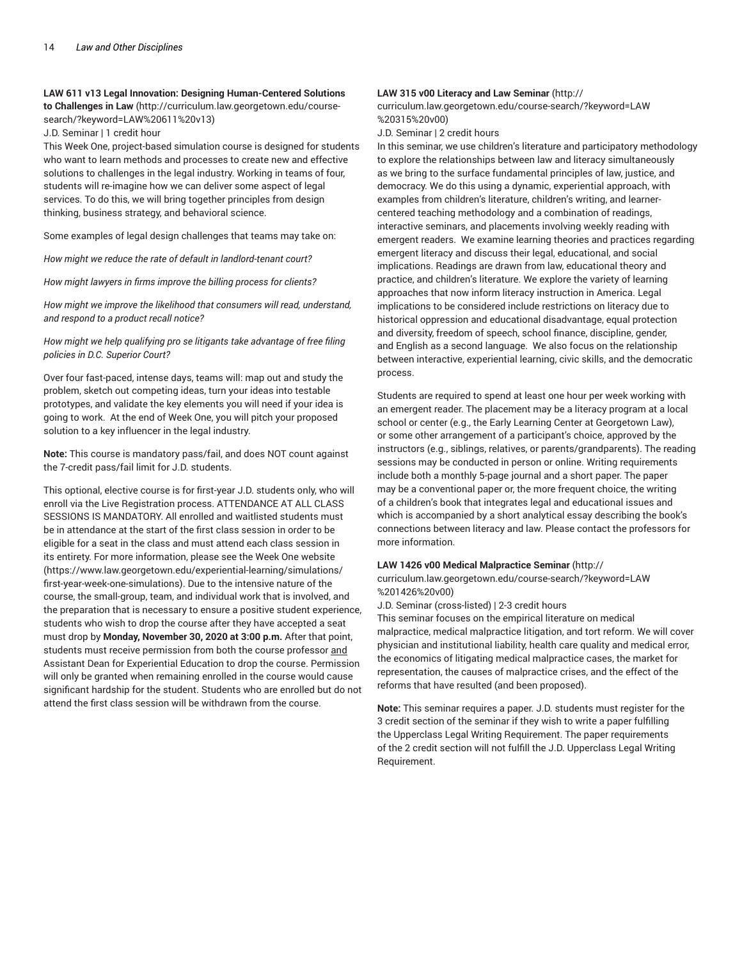#### **LAW 611 v13 Legal Innovation: Designing Human-Centered Solutions**

**to Challenges in Law** (http://curriculum.law.georgetown.edu/coursesearch/?keyword=LAW%20611%20v13)

J.D. Seminar | 1 credit hour

This Week One, project-based simulation course is designed for students who want to learn methods and processes to create new and effective solutions to challenges in the legal industry. Working in teams of four, students will re-imagine how we can deliver some aspect of legal services. To do this, we will bring together principles from design thinking, business strategy, and behavioral science.

Some examples of legal design challenges that teams may take on:

*How might we reduce the rate of default in landlord-tenant court?*

*How might lawyers in firms improve the billing process for clients?*

*How might we improve the likelihood that consumers will read, understand, and respond to a product recall notice?*

*How might we help qualifying pro se litigants take advantage of free filing policies in D.C. Superior Court?*

Over four fast-paced, intense days, teams will: map out and study the problem, sketch out competing ideas, turn your ideas into testable prototypes, and validate the key elements you will need if your idea is going to work. At the end of Week One, you will pitch your proposed solution to a key influencer in the legal industry.

**Note:** This course is mandatory pass/fail, and does NOT count against the 7-credit pass/fail limit for J.D. students.

This optional, elective course is for first-year J.D. students only, who will enroll via the Live Registration process. ATTENDANCE AT ALL CLASS SESSIONS IS MANDATORY. All enrolled and waitlisted students must be in attendance at the start of the first class session in order to be eligible for a seat in the class and must attend each class session in its entirety. For more information, please see the Week One website (https://www.law.georgetown.edu/experiential-learning/simulations/ first-year-week-one-simulations). Due to the intensive nature of the course, the small-group, team, and individual work that is involved, and the preparation that is necessary to ensure a positive student experience, students who wish to drop the course after they have accepted a seat must drop by **Monday, November 30, 2020 at 3:00 p.m.** After that point, students must receive permission from both the course professor and Assistant Dean for Experiential Education to drop the course. Permission will only be granted when remaining enrolled in the course would cause significant hardship for the student. Students who are enrolled but do not attend the first class session will be withdrawn from the course.

#### **LAW 315 v00 Literacy and Law Seminar** (http://

curriculum.law.georgetown.edu/course-search/?keyword=LAW %20315%20v00)

J.D. Seminar | 2 credit hours

In this seminar, we use children's literature and participatory methodology to explore the relationships between law and literacy simultaneously as we bring to the surface fundamental principles of law, justice, and democracy. We do this using a dynamic, experiential approach, with examples from children's literature, children's writing, and learnercentered teaching methodology and a combination of readings, interactive seminars, and placements involving weekly reading with emergent readers. We examine learning theories and practices regarding emergent literacy and discuss their legal, educational, and social implications. Readings are drawn from law, educational theory and practice, and children's literature. We explore the variety of learning approaches that now inform literacy instruction in America. Legal implications to be considered include restrictions on literacy due to historical oppression and educational disadvantage, equal protection and diversity, freedom of speech, school finance, discipline, gender, and English as a second language. We also focus on the relationship between interactive, experiential learning, civic skills, and the democratic process.

Students are required to spend at least one hour per week working with an emergent reader. The placement may be a literacy program at a local school or center (e.g., the Early Learning Center at Georgetown Law), or some other arrangement of a participant's choice, approved by the instructors (e.g., siblings, relatives, or parents/grandparents). The reading sessions may be conducted in person or online. Writing requirements include both a monthly 5-page journal and a short paper. The paper may be a conventional paper or, the more frequent choice, the writing of a children's book that integrates legal and educational issues and which is accompanied by a short analytical essay describing the book's connections between literacy and law. Please contact the professors for more information.

#### **LAW 1426 v00 Medical Malpractice Seminar** (http://

curriculum.law.georgetown.edu/course-search/?keyword=LAW %201426%20v00)

J.D. Seminar (cross-listed) | 2-3 credit hours

This seminar focuses on the empirical literature on medical malpractice, medical malpractice litigation, and tort reform. We will cover physician and institutional liability, health care quality and medical error, the economics of litigating medical malpractice cases, the market for representation, the causes of malpractice crises, and the effect of the reforms that have resulted (and been proposed).

**Note:** This seminar requires a paper. J.D. students must register for the 3 credit section of the seminar if they wish to write a paper fulfilling the Upperclass Legal Writing Requirement. The paper requirements of the 2 credit section will not fulfill the J.D. Upperclass Legal Writing Requirement.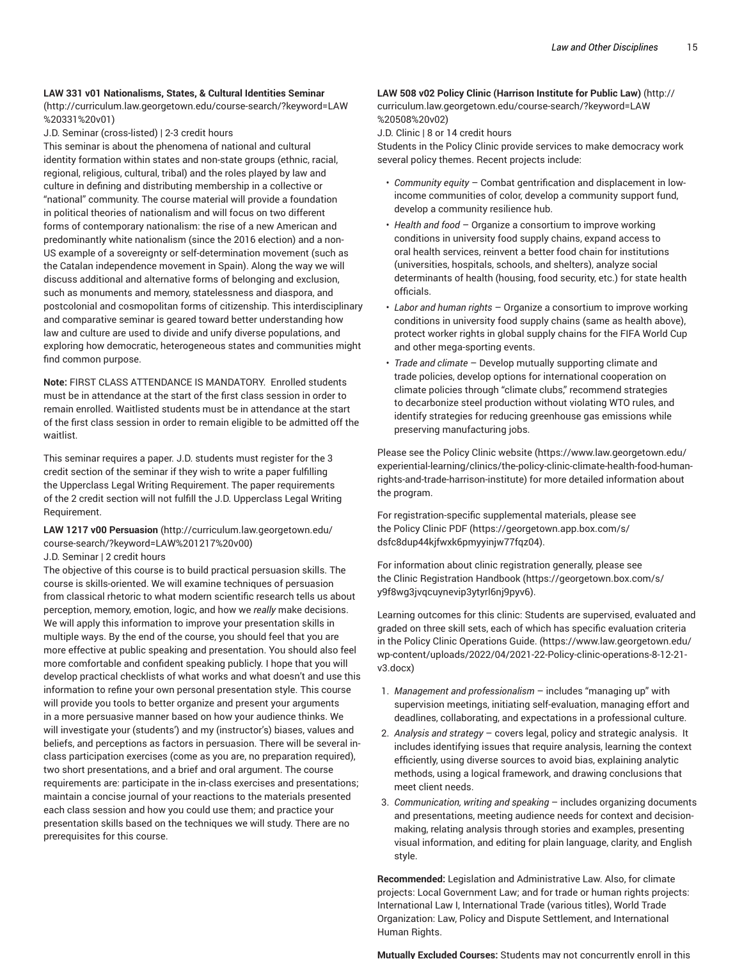#### **LAW 331 v01 Nationalisms, States, & Cultural Identities Seminar**

(http://curriculum.law.georgetown.edu/course-search/?keyword=LAW %20331%20v01)

J.D. Seminar (cross-listed) | 2-3 credit hours

This seminar is about the phenomena of national and cultural identity formation within states and non-state groups (ethnic, racial, regional, religious, cultural, tribal) and the roles played by law and culture in defining and distributing membership in a collective or "national" community. The course material will provide a foundation in political theories of nationalism and will focus on two different forms of contemporary nationalism: the rise of a new American and predominantly white nationalism (since the 2016 election) and a non-US example of a sovereignty or self-determination movement (such as the Catalan independence movement in Spain). Along the way we will discuss additional and alternative forms of belonging and exclusion, such as monuments and memory, statelessness and diaspora, and postcolonial and cosmopolitan forms of citizenship. This interdisciplinary and comparative seminar is geared toward better understanding how law and culture are used to divide and unify diverse populations, and exploring how democratic, heterogeneous states and communities might find common purpose.

**Note:** FIRST CLASS ATTENDANCE IS MANDATORY. Enrolled students must be in attendance at the start of the first class session in order to remain enrolled. Waitlisted students must be in attendance at the start of the first class session in order to remain eligible to be admitted off the waitlist.

This seminar requires a paper. J.D. students must register for the 3 credit section of the seminar if they wish to write a paper fulfilling the Upperclass Legal Writing Requirement. The paper requirements of the 2 credit section will not fulfill the J.D. Upperclass Legal Writing Requirement.

**LAW 1217 v00 Persuasion** (http://curriculum.law.georgetown.edu/ course-search/?keyword=LAW%201217%20v00)

#### J.D. Seminar | 2 credit hours

The objective of this course is to build practical persuasion skills. The course is skills-oriented. We will examine techniques of persuasion from classical rhetoric to what modern scientific research tells us about perception, memory, emotion, logic, and how we *really* make decisions. We will apply this information to improve your presentation skills in multiple ways. By the end of the course, you should feel that you are more effective at public speaking and presentation. You should also feel more comfortable and confident speaking publicly. I hope that you will develop practical checklists of what works and what doesn't and use this information to refine your own personal presentation style. This course will provide you tools to better organize and present your arguments in a more persuasive manner based on how your audience thinks. We will investigate your (students') and my (instructor's) biases, values and beliefs, and perceptions as factors in persuasion. There will be several inclass participation exercises (come as you are, no preparation required), two short presentations, and a brief and oral argument. The course requirements are: participate in the in-class exercises and presentations; maintain a concise journal of your reactions to the materials presented each class session and how you could use them; and practice your presentation skills based on the techniques we will study. There are no prerequisites for this course.

### **LAW 508 v02 Policy Clinic (Harrison Institute for Public Law)** (http:// curriculum.law.georgetown.edu/course-search/?keyword=LAW %20508%20v02)

J.D. Clinic | 8 or 14 credit hours

Students in the Policy Clinic provide services to make democracy work several policy themes. Recent projects include:

- *Community equity* Combat gentrification and displacement in lowincome communities of color, develop a community support fund, develop a community resilience hub.
- *Health and food* Organize a consortium to improve working conditions in university food supply chains, expand access to oral health services, reinvent a better food chain for institutions (universities, hospitals, schools, and shelters), analyze social determinants of health (housing, food security, etc.) for state health officials.
- *Labor and human rights* Organize a consortium to improve working conditions in university food supply chains (same as health above), protect worker rights in global supply chains for the FIFA World Cup and other mega-sporting events.
- *Trade and climate* Develop mutually supporting climate and trade policies, develop options for international cooperation on climate policies through "climate clubs," recommend strategies to decarbonize steel production without violating WTO rules, and identify strategies for reducing greenhouse gas emissions while preserving manufacturing jobs.

Please see the Policy Clinic website (https://www.law.georgetown.edu/ experiential-learning/clinics/the-policy-clinic-climate-health-food-humanrights-and-trade-harrison-institute) for more detailed information about the program.

For registration-specific supplemental materials, please see the Policy Clinic PDF (https://georgetown.app.box.com/s/ dsfc8dup44kjfwxk6pmyyinjw77fqz04).

For information about clinic registration generally, please see the Clinic Registration Handbook (https://georgetown.box.com/s/ y9f8wg3jvqcuynevip3ytyrl6nj9pyv6).

Learning outcomes for this clinic: Students are supervised, evaluated and graded on three skill sets, each of which has specific evaluation criteria in the Policy Clinic Operations Guide. (https://www.law.georgetown.edu/ wp-content/uploads/2022/04/2021-22-Policy-clinic-operations-8-12-21 v3.docx)

- 1. *Management and professionalism* includes "managing up" with supervision meetings, initiating self-evaluation, managing effort and deadlines, collaborating, and expectations in a professional culture.
- 2. *Analysis and strategy*  covers legal, policy and strategic analysis. It includes identifying issues that require analysis, learning the context efficiently, using diverse sources to avoid bias, explaining analytic methods, using a logical framework, and drawing conclusions that meet client needs.
- 3. *Communication, writing and speaking*  includes organizing documents and presentations, meeting audience needs for context and decisionmaking, relating analysis through stories and examples, presenting visual information, and editing for plain language, clarity, and English style.

**Recommended:** Legislation and Administrative Law. Also, for climate projects: Local Government Law; and for trade or human rights projects: International Law I, International Trade (various titles), World Trade Organization: Law, Policy and Dispute Settlement, and International Human Rights.

**Mutually Excluded Courses:** Students may not concurrently enroll in this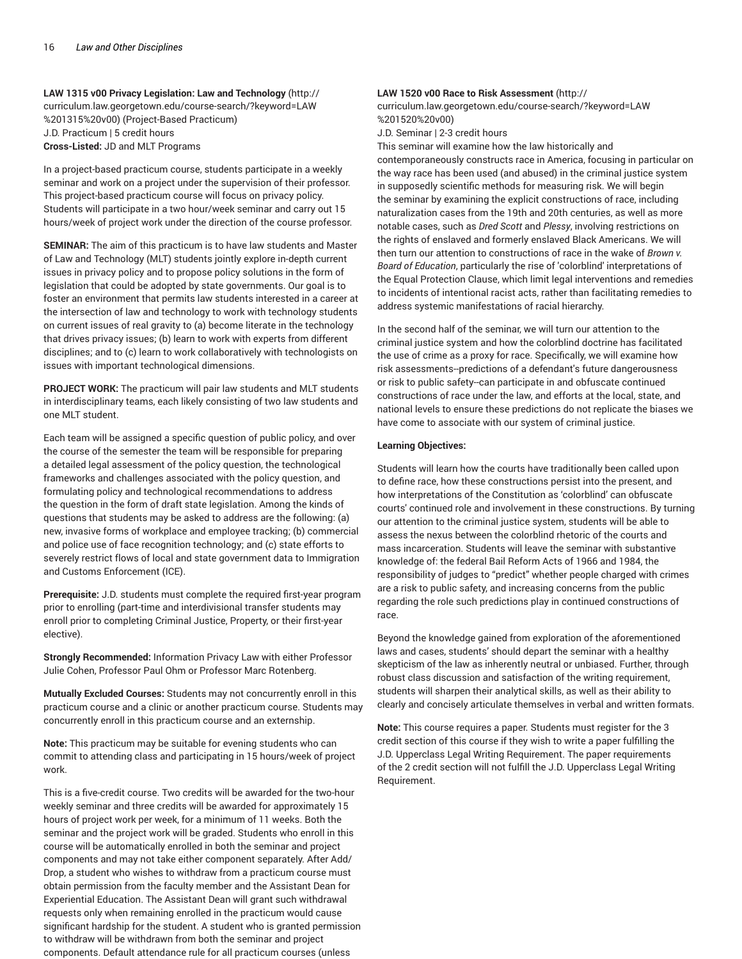**LAW 1315 v00 Privacy Legislation: Law and Technology** (http:// curriculum.law.georgetown.edu/course-search/?keyword=LAW %201315%20v00) (Project-Based Practicum) J.D. Practicum | 5 credit hours **Cross-Listed:** JD and MLT Programs

In a project-based practicum course, students participate in a weekly seminar and work on a project under the supervision of their professor. This project-based practicum course will focus on privacy policy. Students will participate in a two hour/week seminar and carry out 15 hours/week of project work under the direction of the course professor.

**SEMINAR:** The aim of this practicum is to have law students and Master of Law and Technology (MLT) students jointly explore in-depth current issues in privacy policy and to propose policy solutions in the form of legislation that could be adopted by state governments. Our goal is to foster an environment that permits law students interested in a career at the intersection of law and technology to work with technology students on current issues of real gravity to (a) become literate in the technology that drives privacy issues; (b) learn to work with experts from different disciplines; and to (c) learn to work collaboratively with technologists on issues with important technological dimensions.

**PROJECT WORK:** The practicum will pair law students and MLT students in interdisciplinary teams, each likely consisting of two law students and one MLT student.

Each team will be assigned a specific question of public policy, and over the course of the semester the team will be responsible for preparing a detailed legal assessment of the policy question, the technological frameworks and challenges associated with the policy question, and formulating policy and technological recommendations to address the question in the form of draft state legislation. Among the kinds of questions that students may be asked to address are the following: (a) new, invasive forms of workplace and employee tracking; (b) commercial and police use of face recognition technology; and (c) state efforts to severely restrict flows of local and state government data to Immigration and Customs Enforcement (ICE).

**Prerequisite:** J.D. students must complete the required first-year program prior to enrolling (part-time and interdivisional transfer students may enroll prior to completing Criminal Justice, Property, or their first-year elective).

**Strongly Recommended:** Information Privacy Law with either Professor Julie Cohen, Professor Paul Ohm or Professor Marc Rotenberg.

**Mutually Excluded Courses:** Students may not concurrently enroll in this practicum course and a clinic or another practicum course. Students may concurrently enroll in this practicum course and an externship.

**Note:** This practicum may be suitable for evening students who can commit to attending class and participating in 15 hours/week of project work.

This is a five-credit course. Two credits will be awarded for the two-hour weekly seminar and three credits will be awarded for approximately 15 hours of project work per week, for a minimum of 11 weeks. Both the seminar and the project work will be graded. Students who enroll in this course will be automatically enrolled in both the seminar and project components and may not take either component separately. After Add/ Drop, a student who wishes to withdraw from a practicum course must obtain permission from the faculty member and the Assistant Dean for Experiential Education. The Assistant Dean will grant such withdrawal requests only when remaining enrolled in the practicum would cause significant hardship for the student. A student who is granted permission to withdraw will be withdrawn from both the seminar and project components. Default attendance rule for all practicum courses (unless

#### **LAW 1520 v00 Race to Risk Assessment** (http://

curriculum.law.georgetown.edu/course-search/?keyword=LAW %201520%20v00)

J.D. Seminar | 2-3 credit hours

This seminar will examine how the law historically and

contemporaneously constructs race in America, focusing in particular on the way race has been used (and abused) in the criminal justice system in supposedly scientific methods for measuring risk. We will begin the seminar by examining the explicit constructions of race, including naturalization cases from the 19th and 20th centuries, as well as more notable cases, such as *Dred Scott* and *Plessy*, involving restrictions on the rights of enslaved and formerly enslaved Black Americans. We will then turn our attention to constructions of race in the wake of *Brown v. Board of Education*, particularly the rise of 'colorblind' interpretations of the Equal Protection Clause, which limit legal interventions and remedies to incidents of intentional racist acts, rather than facilitating remedies to address systemic manifestations of racial hierarchy.

In the second half of the seminar, we will turn our attention to the criminal justice system and how the colorblind doctrine has facilitated the use of crime as a proxy for race. Specifically, we will examine how risk assessments--predictions of a defendant's future dangerousness or risk to public safety--can participate in and obfuscate continued constructions of race under the law, and efforts at the local, state, and national levels to ensure these predictions do not replicate the biases we have come to associate with our system of criminal justice.

#### **Learning Objectives:**

Students will learn how the courts have traditionally been called upon to define race, how these constructions persist into the present, and how interpretations of the Constitution as 'colorblind' can obfuscate courts' continued role and involvement in these constructions. By turning our attention to the criminal justice system, students will be able to assess the nexus between the colorblind rhetoric of the courts and mass incarceration. Students will leave the seminar with substantive knowledge of: the federal Bail Reform Acts of 1966 and 1984, the responsibility of judges to "predict" whether people charged with crimes are a risk to public safety, and increasing concerns from the public regarding the role such predictions play in continued constructions of race.

Beyond the knowledge gained from exploration of the aforementioned laws and cases, students' should depart the seminar with a healthy skepticism of the law as inherently neutral or unbiased. Further, through robust class discussion and satisfaction of the writing requirement, students will sharpen their analytical skills, as well as their ability to clearly and concisely articulate themselves in verbal and written formats.

**Note:** This course requires a paper. Students must register for the 3 credit section of this course if they wish to write a paper fulfilling the J.D. Upperclass Legal Writing Requirement. The paper requirements of the 2 credit section will not fulfill the J.D. Upperclass Legal Writing Requirement.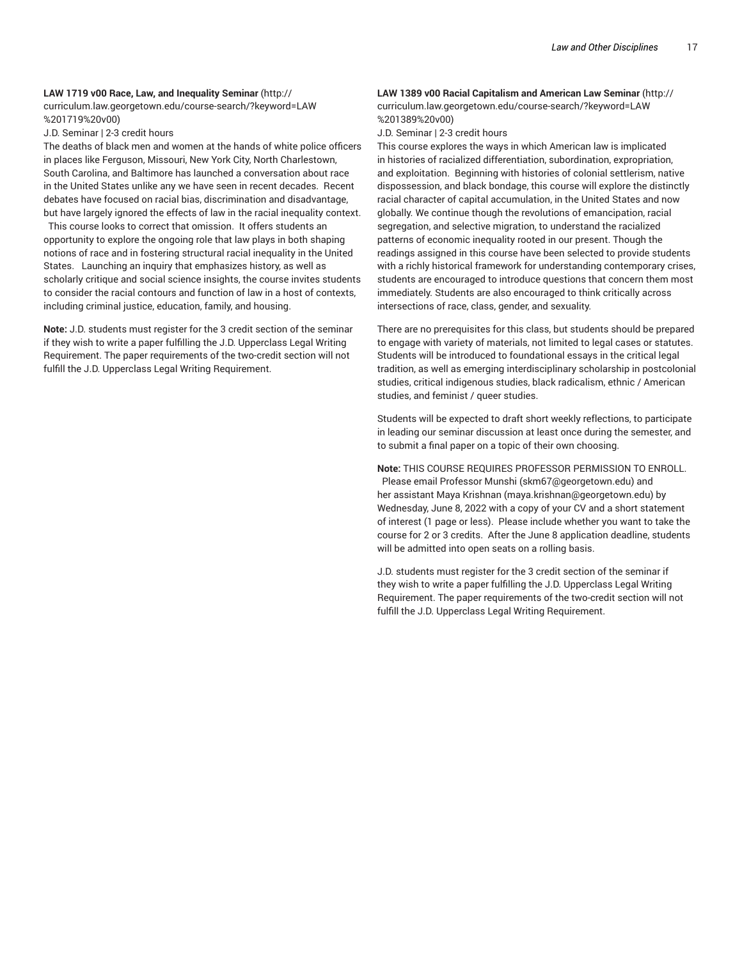## **LAW 1719 v00 Race, Law, and Inequality Seminar** (http://

curriculum.law.georgetown.edu/course-search/?keyword=LAW %201719%20v00)

J.D. Seminar | 2-3 credit hours

The deaths of black men and women at the hands of white police officers in places like Ferguson, Missouri, New York City, North Charlestown, South Carolina, and Baltimore has launched a conversation about race in the United States unlike any we have seen in recent decades. Recent debates have focused on racial bias, discrimination and disadvantage, but have largely ignored the effects of law in the racial inequality context.

This course looks to correct that omission. It offers students an opportunity to explore the ongoing role that law plays in both shaping notions of race and in fostering structural racial inequality in the United States. Launching an inquiry that emphasizes history, as well as scholarly critique and social science insights, the course invites students to consider the racial contours and function of law in a host of contexts, including criminal justice, education, family, and housing.

**Note:** J.D. students must register for the 3 credit section of the seminar if they wish to write a paper fulfilling the J.D. Upperclass Legal Writing Requirement. The paper requirements of the two-credit section will not fulfill the J.D. Upperclass Legal Writing Requirement.

#### **LAW 1389 v00 Racial Capitalism and American Law Seminar** (http:// curriculum.law.georgetown.edu/course-search/?keyword=LAW %201389%20v00)

J.D. Seminar | 2-3 credit hours

This course explores the ways in which American law is implicated in histories of racialized differentiation, subordination, expropriation, and exploitation. Beginning with histories of colonial settlerism, native dispossession, and black bondage, this course will explore the distinctly racial character of capital accumulation, in the United States and now globally. We continue though the revolutions of emancipation, racial segregation, and selective migration, to understand the racialized patterns of economic inequality rooted in our present. Though the readings assigned in this course have been selected to provide students with a richly historical framework for understanding contemporary crises, students are encouraged to introduce questions that concern them most immediately. Students are also encouraged to think critically across intersections of race, class, gender, and sexuality.

There are no prerequisites for this class, but students should be prepared to engage with variety of materials, not limited to legal cases or statutes. Students will be introduced to foundational essays in the critical legal tradition, as well as emerging interdisciplinary scholarship in postcolonial studies, critical indigenous studies, black radicalism, ethnic / American studies, and feminist / queer studies.

Students will be expected to draft short weekly reflections, to participate in leading our seminar discussion at least once during the semester, and to submit a final paper on a topic of their own choosing.

**Note:** THIS COURSE REQUIRES PROFESSOR PERMISSION TO ENROLL. Please email Professor Munshi (skm67@georgetown.edu) and her assistant Maya Krishnan (maya.krishnan@georgetown.edu) by Wednesday, June 8, 2022 with a copy of your CV and a short statement of interest (1 page or less). Please include whether you want to take the course for 2 or 3 credits. After the June 8 application deadline, students will be admitted into open seats on a rolling basis.

J.D. students must register for the 3 credit section of the seminar if they wish to write a paper fulfilling the J.D. Upperclass Legal Writing Requirement. The paper requirements of the two-credit section will not fulfill the J.D. Upperclass Legal Writing Requirement.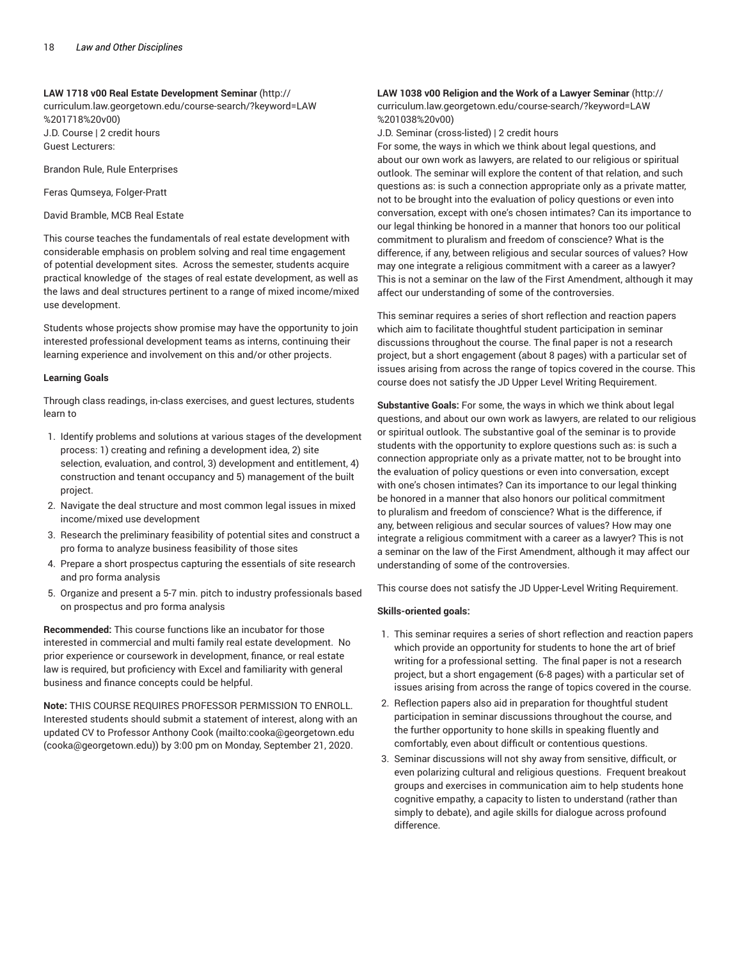#### **LAW 1718 v00 Real Estate Development Seminar** (http://

curriculum.law.georgetown.edu/course-search/?keyword=LAW %201718%20v00) J.D. Course | 2 credit hours Guest Lecturers:

Brandon Rule, Rule Enterprises

Feras Qumseya, Folger-Pratt

David Bramble, MCB Real Estate

This course teaches the fundamentals of real estate development with considerable emphasis on problem solving and real time engagement of potential development sites. Across the semester, students acquire practical knowledge of the stages of real estate development, as well as the laws and deal structures pertinent to a range of mixed income/mixed use development.

Students whose projects show promise may have the opportunity to join interested professional development teams as interns, continuing their learning experience and involvement on this and/or other projects.

#### **Learning Goals**

Through class readings, in-class exercises, and guest lectures, students learn to

- 1. Identify problems and solutions at various stages of the development process: 1) creating and refining a development idea, 2) site selection, evaluation, and control, 3) development and entitlement, 4) construction and tenant occupancy and 5) management of the built project.
- 2. Navigate the deal structure and most common legal issues in mixed income/mixed use development
- 3. Research the preliminary feasibility of potential sites and construct a pro forma to analyze business feasibility of those sites
- 4. Prepare a short prospectus capturing the essentials of site research and pro forma analysis
- 5. Organize and present a 5-7 min. pitch to industry professionals based on prospectus and pro forma analysis

**Recommended:** This course functions like an incubator for those interested in commercial and multi family real estate development. No prior experience or coursework in development, finance, or real estate law is required, but proficiency with Excel and familiarity with general business and finance concepts could be helpful.

**Note:** THIS COURSE REQUIRES PROFESSOR PERMISSION TO ENROLL. Interested students should submit a statement of interest, along with an updated CV to Professor Anthony Cook (mailto:cooka@georgetown.edu (cooka@georgetown.edu)) by 3:00 pm on Monday, September 21, 2020.

## **LAW 1038 v00 Religion and the Work of a Lawyer Seminar** (http://

curriculum.law.georgetown.edu/course-search/?keyword=LAW %201038%20v00)

J.D. Seminar (cross-listed) | 2 credit hours

For some, the ways in which we think about legal questions, and about our own work as lawyers, are related to our religious or spiritual outlook. The seminar will explore the content of that relation, and such questions as: is such a connection appropriate only as a private matter, not to be brought into the evaluation of policy questions or even into conversation, except with one's chosen intimates? Can its importance to our legal thinking be honored in a manner that honors too our political commitment to pluralism and freedom of conscience? What is the difference, if any, between religious and secular sources of values? How may one integrate a religious commitment with a career as a lawyer? This is not a seminar on the law of the First Amendment, although it may affect our understanding of some of the controversies.

This seminar requires a series of short reflection and reaction papers which aim to facilitate thoughtful student participation in seminar discussions throughout the course. The final paper is not a research project, but a short engagement (about 8 pages) with a particular set of issues arising from across the range of topics covered in the course. This course does not satisfy the JD Upper Level Writing Requirement.

**Substantive Goals:** For some, the ways in which we think about legal questions, and about our own work as lawyers, are related to our religious or spiritual outlook. The substantive goal of the seminar is to provide students with the opportunity to explore questions such as: is such a connection appropriate only as a private matter, not to be brought into the evaluation of policy questions or even into conversation, except with one's chosen intimates? Can its importance to our legal thinking be honored in a manner that also honors our political commitment to pluralism and freedom of conscience? What is the difference, if any, between religious and secular sources of values? How may one integrate a religious commitment with a career as a lawyer? This is not a seminar on the law of the First Amendment, although it may affect our understanding of some of the controversies.

This course does not satisfy the JD Upper-Level Writing Requirement.

#### **Skills-oriented goals:**

- 1. This seminar requires a series of short reflection and reaction papers which provide an opportunity for students to hone the art of brief writing for a professional setting. The final paper is not a research project, but a short engagement (6-8 pages) with a particular set of issues arising from across the range of topics covered in the course.
- 2. Reflection papers also aid in preparation for thoughtful student participation in seminar discussions throughout the course, and the further opportunity to hone skills in speaking fluently and comfortably, even about difficult or contentious questions.
- 3. Seminar discussions will not shy away from sensitive, difficult, or even polarizing cultural and religious questions. Frequent breakout groups and exercises in communication aim to help students hone cognitive empathy, a capacity to listen to understand (rather than simply to debate), and agile skills for dialogue across profound difference.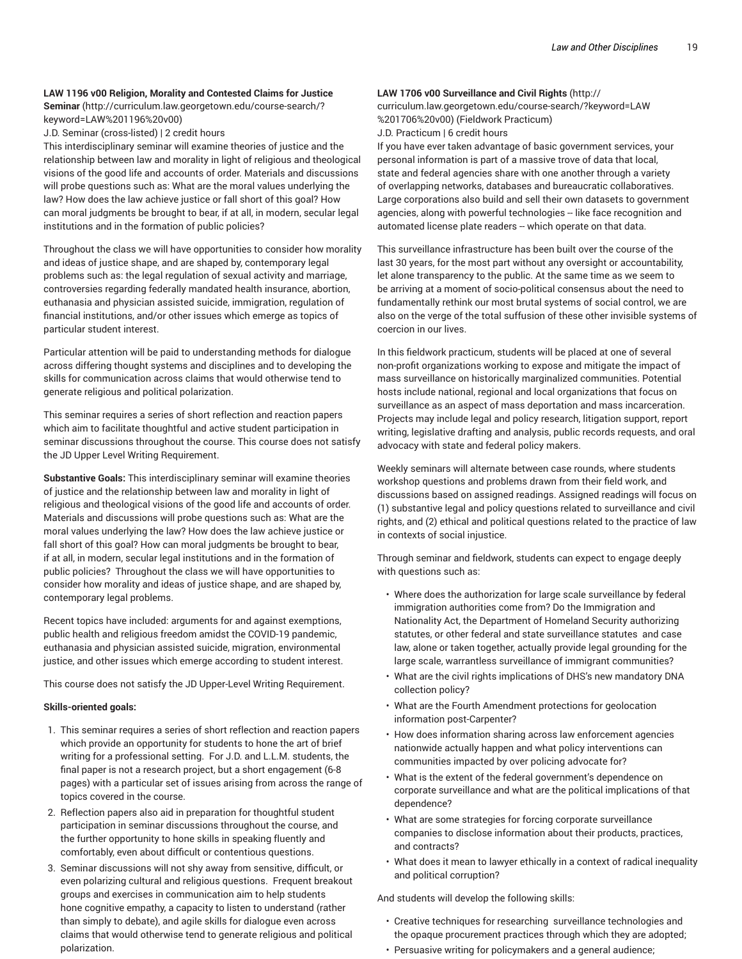#### **LAW 1196 v00 Religion, Morality and Contested Claims for Justice**

**Seminar** (http://curriculum.law.georgetown.edu/course-search/? keyword=LAW%201196%20v00)

J.D. Seminar (cross-listed) | 2 credit hours

This interdisciplinary seminar will examine theories of justice and the relationship between law and morality in light of religious and theological visions of the good life and accounts of order. Materials and discussions will probe questions such as: What are the moral values underlying the law? How does the law achieve justice or fall short of this goal? How can moral judgments be brought to bear, if at all, in modern, secular legal institutions and in the formation of public policies?

Throughout the class we will have opportunities to consider how morality and ideas of justice shape, and are shaped by, contemporary legal problems such as: the legal regulation of sexual activity and marriage, controversies regarding federally mandated health insurance, abortion, euthanasia and physician assisted suicide, immigration, regulation of financial institutions, and/or other issues which emerge as topics of particular student interest.

Particular attention will be paid to understanding methods for dialogue across differing thought systems and disciplines and to developing the skills for communication across claims that would otherwise tend to generate religious and political polarization.

This seminar requires a series of short reflection and reaction papers which aim to facilitate thoughtful and active student participation in seminar discussions throughout the course. This course does not satisfy the JD Upper Level Writing Requirement.

**Substantive Goals:** This interdisciplinary seminar will examine theories of justice and the relationship between law and morality in light of religious and theological visions of the good life and accounts of order. Materials and discussions will probe questions such as: What are the moral values underlying the law? How does the law achieve justice or fall short of this goal? How can moral judgments be brought to bear, if at all, in modern, secular legal institutions and in the formation of public policies? Throughout the class we will have opportunities to consider how morality and ideas of justice shape, and are shaped by, contemporary legal problems.

Recent topics have included: arguments for and against exemptions, public health and religious freedom amidst the COVID-19 pandemic, euthanasia and physician assisted suicide, migration, environmental justice, and other issues which emerge according to student interest.

This course does not satisfy the JD Upper-Level Writing Requirement.

#### **Skills-oriented goals:**

- 1. This seminar requires a series of short reflection and reaction papers which provide an opportunity for students to hone the art of brief writing for a professional setting. For J.D. and L.L.M. students, the final paper is not a research project, but a short engagement (6-8 pages) with a particular set of issues arising from across the range of topics covered in the course.
- 2. Reflection papers also aid in preparation for thoughtful student participation in seminar discussions throughout the course, and the further opportunity to hone skills in speaking fluently and comfortably, even about difficult or contentious questions.
- 3. Seminar discussions will not shy away from sensitive, difficult, or even polarizing cultural and religious questions. Frequent breakout groups and exercises in communication aim to help students hone cognitive empathy, a capacity to listen to understand (rather than simply to debate), and agile skills for dialogue even across claims that would otherwise tend to generate religious and political polarization.

#### **LAW 1706 v00 Surveillance and Civil Rights** (http://

curriculum.law.georgetown.edu/course-search/?keyword=LAW %201706%20v00) (Fieldwork Practicum) J.D. Practicum | 6 credit hours

If you have ever taken advantage of basic government services, your personal information is part of a massive trove of data that local, state and federal agencies share with one another through a variety of overlapping networks, databases and bureaucratic collaboratives. Large corporations also build and sell their own datasets to government agencies, along with powerful technologies -- like face recognition and automated license plate readers -- which operate on that data.

This surveillance infrastructure has been built over the course of the last 30 years, for the most part without any oversight or accountability, let alone transparency to the public. At the same time as we seem to be arriving at a moment of socio-political consensus about the need to fundamentally rethink our most brutal systems of social control, we are also on the verge of the total suffusion of these other invisible systems of coercion in our lives.

In this fieldwork practicum, students will be placed at one of several non-profit organizations working to expose and mitigate the impact of mass surveillance on historically marginalized communities. Potential hosts include national, regional and local organizations that focus on surveillance as an aspect of mass deportation and mass incarceration. Projects may include legal and policy research, litigation support, report writing, legislative drafting and analysis, public records requests, and oral advocacy with state and federal policy makers.

Weekly seminars will alternate between case rounds, where students workshop questions and problems drawn from their field work, and discussions based on assigned readings. Assigned readings will focus on (1) substantive legal and policy questions related to surveillance and civil rights, and (2) ethical and political questions related to the practice of law in contexts of social injustice.

Through seminar and fieldwork, students can expect to engage deeply with questions such as:

- Where does the authorization for large scale surveillance by federal immigration authorities come from? Do the Immigration and Nationality Act, the Department of Homeland Security authorizing statutes, or other federal and state surveillance statutes and case law, alone or taken together, actually provide legal grounding for the large scale, warrantless surveillance of immigrant communities?
- What are the civil rights implications of DHS's new mandatory DNA collection policy?
- What are the Fourth Amendment protections for geolocation information post-Carpenter?
- How does information sharing across law enforcement agencies nationwide actually happen and what policy interventions can communities impacted by over policing advocate for?
- What is the extent of the federal government's dependence on corporate surveillance and what are the political implications of that dependence?
- What are some strategies for forcing corporate surveillance companies to disclose information about their products, practices, and contracts?
- What does it mean to lawyer ethically in a context of radical inequality and political corruption?

And students will develop the following skills:

- Creative techniques for researching surveillance technologies and the opaque procurement practices through which they are adopted;
- Persuasive writing for policymakers and a general audience;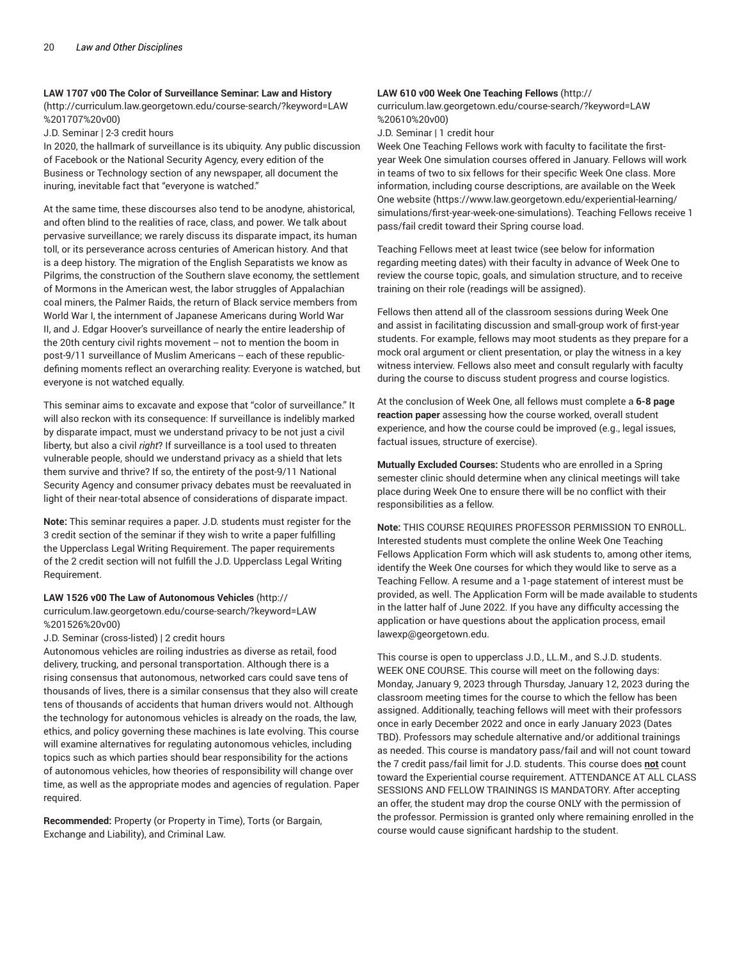#### **LAW 1707 v00 The Color of Surveillance Seminar: Law and History**

(http://curriculum.law.georgetown.edu/course-search/?keyword=LAW %201707%20v00)

J.D. Seminar | 2-3 credit hours

In 2020, the hallmark of surveillance is its ubiquity. Any public discussion of Facebook or the National Security Agency, every edition of the Business or Technology section of any newspaper, all document the inuring, inevitable fact that "everyone is watched."

At the same time, these discourses also tend to be anodyne, ahistorical, and often blind to the realities of race, class, and power. We talk about pervasive surveillance; we rarely discuss its disparate impact, its human toll, or its perseverance across centuries of American history. And that is a deep history. The migration of the English Separatists we know as Pilgrims, the construction of the Southern slave economy, the settlement of Mormons in the American west, the labor struggles of Appalachian coal miners, the Palmer Raids, the return of Black service members from World War I, the internment of Japanese Americans during World War II, and J. Edgar Hoover's surveillance of nearly the entire leadership of the 20th century civil rights movement -- not to mention the boom in post-9/11 surveillance of Muslim Americans -- each of these republicdefining moments reflect an overarching reality: Everyone is watched, but everyone is not watched equally.

This seminar aims to excavate and expose that "color of surveillance." It will also reckon with its consequence: If surveillance is indelibly marked by disparate impact, must we understand privacy to be not just a civil liberty, but also a civil *right*? If surveillance is a tool used to threaten vulnerable people, should we understand privacy as a shield that lets them survive and thrive? If so, the entirety of the post-9/11 National Security Agency and consumer privacy debates must be reevaluated in light of their near-total absence of considerations of disparate impact.

**Note:** This seminar requires a paper. J.D. students must register for the 3 credit section of the seminar if they wish to write a paper fulfilling the Upperclass Legal Writing Requirement. The paper requirements of the 2 credit section will not fulfill the J.D. Upperclass Legal Writing Requirement.

#### **LAW 1526 v00 The Law of Autonomous Vehicles** (http://

curriculum.law.georgetown.edu/course-search/?keyword=LAW %201526%20v00)

J.D. Seminar (cross-listed) | 2 credit hours

Autonomous vehicles are roiling industries as diverse as retail, food delivery, trucking, and personal transportation. Although there is a rising consensus that autonomous, networked cars could save tens of thousands of lives, there is a similar consensus that they also will create tens of thousands of accidents that human drivers would not. Although the technology for autonomous vehicles is already on the roads, the law, ethics, and policy governing these machines is late evolving. This course will examine alternatives for regulating autonomous vehicles, including topics such as which parties should bear responsibility for the actions of autonomous vehicles, how theories of responsibility will change over time, as well as the appropriate modes and agencies of regulation. Paper required.

**Recommended:** Property (or Property in Time), Torts (or Bargain, Exchange and Liability), and Criminal Law.

#### **LAW 610 v00 Week One Teaching Fellows** (http://

curriculum.law.georgetown.edu/course-search/?keyword=LAW %20610%20v00)

J.D. Seminar | 1 credit hour

Week One Teaching Fellows work with faculty to facilitate the firstyear Week One simulation courses offered in January. Fellows will work in teams of two to six fellows for their specific Week One class. More information, including course descriptions, are available on the Week One website (https://www.law.georgetown.edu/experiential-learning/ simulations/first-year-week-one-simulations). Teaching Fellows receive 1 pass/fail credit toward their Spring course load.

Teaching Fellows meet at least twice (see below for information regarding meeting dates) with their faculty in advance of Week One to review the course topic, goals, and simulation structure, and to receive training on their role (readings will be assigned).

Fellows then attend all of the classroom sessions during Week One and assist in facilitating discussion and small-group work of first-year students. For example, fellows may moot students as they prepare for a mock oral argument or client presentation, or play the witness in a key witness interview. Fellows also meet and consult regularly with faculty during the course to discuss student progress and course logistics.

At the conclusion of Week One, all fellows must complete a **6-8 page reaction paper** assessing how the course worked, overall student experience, and how the course could be improved (e.g., legal issues, factual issues, structure of exercise).

**Mutually Excluded Courses:** Students who are enrolled in a Spring semester clinic should determine when any clinical meetings will take place during Week One to ensure there will be no conflict with their responsibilities as a fellow.

**Note:** THIS COURSE REQUIRES PROFESSOR PERMISSION TO ENROLL. Interested students must complete the online Week One Teaching Fellows Application Form which will ask students to, among other items, identify the Week One courses for which they would like to serve as a Teaching Fellow. A resume and a 1-page statement of interest must be provided, as well. The Application Form will be made available to students in the latter half of June 2022. If you have any difficulty accessing the application or have questions about the application process, email lawexp@georgetown.edu.

This course is open to upperclass J.D., LL.M., and S.J.D. students. WEEK ONE COURSE. This course will meet on the following days: Monday, January 9, 2023 through Thursday, January 12, 2023 during the classroom meeting times for the course to which the fellow has been assigned. Additionally, teaching fellows will meet with their professors once in early December 2022 and once in early January 2023 (Dates TBD). Professors may schedule alternative and/or additional trainings as needed. This course is mandatory pass/fail and will not count toward the 7 credit pass/fail limit for J.D. students. This course does **not** count toward the Experiential course requirement. ATTENDANCE AT ALL CLASS SESSIONS AND FELLOW TRAININGS IS MANDATORY. After accepting an offer, the student may drop the course ONLY with the permission of the professor. Permission is granted only where remaining enrolled in the course would cause significant hardship to the student.